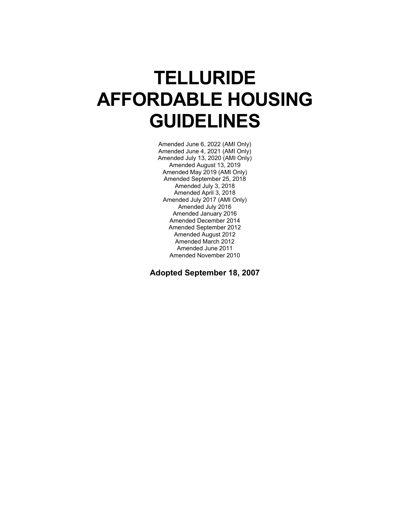# **TELLURIDE AFFORDABLE HOUSING GUIDELINES**

Amended June 6, 2022 (AMI Only) Amended June 4, 2021 (AMI Only) Amended July 13, 2020 (AMI Only) Amended August 13, 2019 Amended May 2019 (AMI Only) Amended September 25, 2018 Amended July 3, 2018 Amended April 3, 2018 Amended July 2017 (AMI Only) Amended July 2016 Amended January 2016 Amended December 2014 Amended September 2012 Amended August 2012 Amended March 2012 Amended June 2011 Amended November 2010

**Adopted September 18, 2007**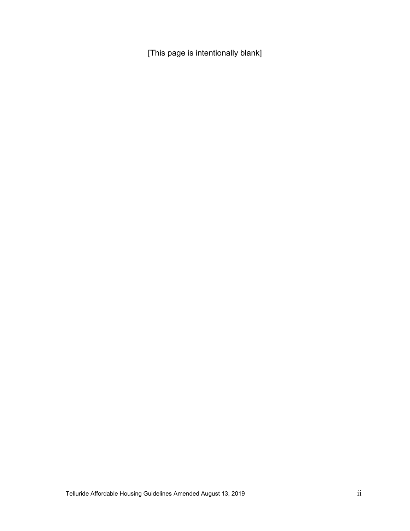[This page is intentionally blank]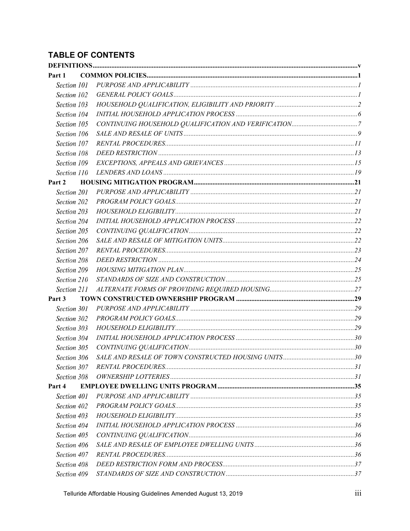## **TABLE OF CONTENTS**

| Part 1      |  |  |
|-------------|--|--|
| Section 101 |  |  |
| Section 102 |  |  |
| Section 103 |  |  |
| Section 104 |  |  |
| Section 105 |  |  |
| Section 106 |  |  |
| Section 107 |  |  |
| Section 108 |  |  |
| Section 109 |  |  |
| Section 110 |  |  |
| Part 2      |  |  |
| Section 201 |  |  |
| Section 202 |  |  |
| Section 203 |  |  |
| Section 204 |  |  |
| Section 205 |  |  |
| Section 206 |  |  |
| Section 207 |  |  |
| Section 208 |  |  |
| Section 209 |  |  |
| Section 210 |  |  |
| Section 211 |  |  |
| Part 3      |  |  |
| Section 301 |  |  |
| Section 302 |  |  |
| Section 303 |  |  |
| Section 304 |  |  |
| Section 305 |  |  |
| Section 306 |  |  |
| Section 307 |  |  |
| Section 308 |  |  |
| Part 4      |  |  |
| Section 401 |  |  |
| Section 402 |  |  |
| Section 403 |  |  |
| Section 404 |  |  |
| Section 405 |  |  |
| Section 406 |  |  |
| Section 407 |  |  |
| Section 408 |  |  |
| Section 409 |  |  |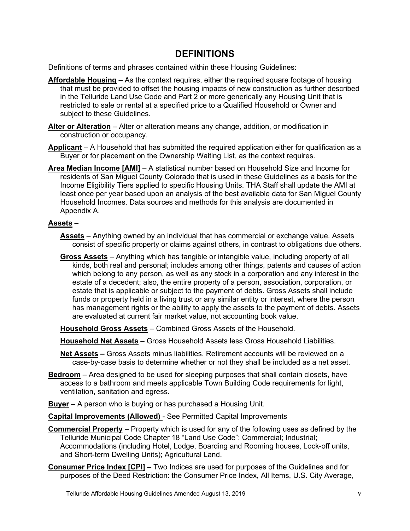## **DEFINITIONS**

<span id="page-4-0"></span>Definitions of terms and phrases contained within these Housing Guidelines:

- **Affordable Housing** As the context requires, either the required square footage of housing that must be provided to offset the housing impacts of new construction as further described in the Telluride Land Use Code and Part 2 or more generically any Housing Unit that is restricted to sale or rental at a specified price to a Qualified Household or Owner and subject to these Guidelines.
- **Alter or Alteration** Alter or alteration means any change, addition, or modification in construction or occupancy.
- **Applicant** A Household that has submitted the required application either for qualification as a Buyer or for placement on the Ownership Waiting List, as the context requires.
- **Area Median Income [AMI]** A statistical number based on Household Size and Income for residents of San Miguel County Colorado that is used in these Guidelines as a basis for the Income Eligibility Tiers applied to specific Housing Units. THA Staff shall update the AMI at least once per year based upon an analysis of the best available data for San Miguel County Household Incomes. Data sources and methods for this analysis are documented in Appendix A.

## **Assets –**

- **Assets** Anything owned by an individual that has commercial or exchange value. Assets consist of specific property or claims against others, in contrast to obligations due others.
- **Gross Assets** Anything which has tangible or intangible value, including property of all kinds, both real and personal; includes among other things, patents and causes of action which belong to any person, as well as any stock in a corporation and any interest in the estate of a decedent; also, the entire property of a person, association, corporation, or estate that is applicable or subject to the payment of debts. Gross Assets shall include funds or property held in a living trust or any similar entity or interest, where the person has management rights or the ability to apply the assets to the payment of debts. Assets are evaluated at current fair market value, not accounting book value.

**Household Gross Assets** – Combined Gross Assets of the Household.

**Household Net Assets** – Gross Household Assets less Gross Household Liabilities.

- **Net Assets –** Gross Assets minus liabilities. Retirement accounts will be reviewed on a case-by-case basis to determine whether or not they shall be included as a net asset.
- **Bedroom** Area designed to be used for sleeping purposes that shall contain closets, have access to a bathroom and meets applicable Town Building Code requirements for light, ventilation, sanitation and egress.
- **Buyer** A person who is buying or has purchased a Housing Unit.
- **Capital Improvements (Allowed)** See Permitted Capital Improvements
- **Commercial Property** Property which is used for any of the following uses as defined by the Telluride Municipal Code Chapter 18 "Land Use Code": Commercial; Industrial; Accommodations (including Hotel, Lodge, Boarding and Rooming houses, Lock-off units, and Short-term Dwelling Units); Agricultural Land.
- **Consumer Price Index [CPI]** Two Indices are used for purposes of the Guidelines and for purposes of the Deed Restriction: the Consumer Price Index, All Items, U.S. City Average,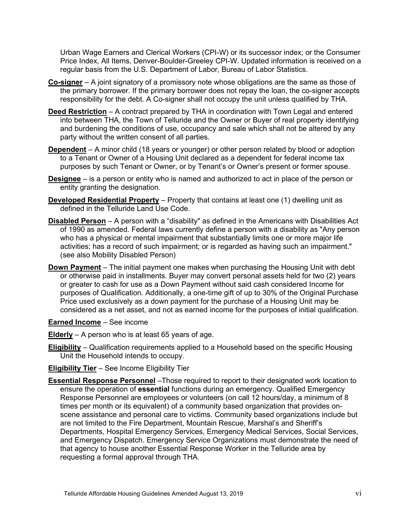Urban Wage Earners and Clerical Workers (CPI-W) or its successor index; or the Consumer Price Index, All Items, Denver-Boulder-Greeley CPI-W. Updated information is received on a regular basis from the U.S. Department of Labor, Bureau of Labor Statistics.

- **Co-signer** A joint signatory of a promissory note whose obligations are the same as those of the primary borrower. If the primary borrower does not repay the loan, the co-signer accepts responsibility for the debt. A Co-signer shall not occupy the unit unless qualified by THA.
- **Deed Restriction** A contract prepared by THA in coordination with Town Legal and entered into between THA, the Town of Telluride and the Owner or Buyer of real property identifying and burdening the conditions of use, occupancy and sale which shall not be altered by any party without the written consent of all parties.
- **Dependent** A minor child (18 years or younger) or other person related by blood or adoption to a Tenant or Owner of a Housing Unit declared as a dependent for federal income tax purposes by such Tenant or Owner, or by Tenant's or Owner's present or former spouse.
- **Designee** is a person or entity who is named and authorized to act in place of the person or entity granting the designation.
- **Developed Residential Property** Property that contains at least one (1) dwelling unit as defined in the Telluride Land Use Code.
- **Disabled Person** A person with a "disability" as defined in the Americans with Disabilities Act of 1990 as amended. Federal laws currently define a person with a disability as "Any person who has a physical or mental impairment that substantially limits one or more major life activities; has a record of such impairment; or is regarded as having such an impairment." (see also Mobility Disabled Person)
- **Down Payment** The initial payment one makes when purchasing the Housing Unit with [debt](http://financial-dictionary.thefreedictionary.com/Debt) or otherwise [paid](http://financial-dictionary.thefreedictionary.com/Payment) in [installments.](http://financial-dictionary.thefreedictionary.com/installment) Buyer may convert personal assets held for two (2) years or greater to cash for use as a Down Payment without said cash considered Income for purposes of Qualification. Additionally, a one-time gift of up to 30% of the Original Purchase Price used exclusively as a down payment for the purchase of a Housing Unit may be considered as a net asset, and not as earned income for the purposes of initial qualification.

**Earned Income** – See income

- **Elderly** A person who is at least 65 years of age.
- **Eligibility** Qualification requirements applied to a Household based on the specific Housing Unit the Household intends to occupy.

**Eligibility Tier** – See Income Eligibility Tier

**Essential Response Personnel** –Those required to report to their designated work location to ensure the operation of **essential** functions during an emergency. Qualified Emergency Response Personnel are employees or volunteers (on call 12 hours/day, a minimum of 8 times per month or its equivalent) of a community based organization that provides onscene assistance and personal care to victims. Community based organizations include but are not limited to the Fire Department, Mountain Rescue, Marshal's and Sheriff's Departments, Hospital Emergency Services, Emergency Medical Services, Social Services, and Emergency Dispatch. Emergency Service Organizations must demonstrate the need of that agency to house another Essential Response Worker in the Telluride area by requesting a formal approval through THA.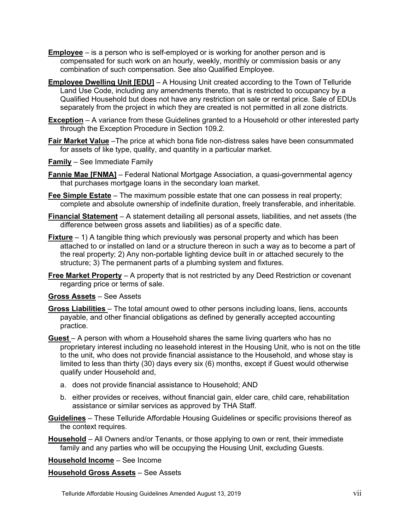- **Employee** is a person who is self-employed or is working for another person and is compensated for such work on an hourly, weekly, monthly or commission basis or any combination of such compensation. See also Qualified Employee.
- **Employee Dwelling Unit [EDU]** A Housing Unit created according to the Town of Telluride Land Use Code, including any amendments thereto, that is restricted to occupancy by a Qualified Household but does not have any restriction on sale or rental price. Sale of EDUs separately from the project in which they are created is not permitted in all zone districts.
- **Exception** A variance from these Guidelines granted to a Household or other interested party through the Exception Procedure in Section [109.2.](#page-27-0)
- **Fair Market Value** –The price at which bona fide non-distress sales have been consummated for assets of like type, quality, and quantity in a particular market.
- **Family** See Immediate Family
- **Fannie Mae [FNMA]** Federal National Mortgage Association, a quasi-governmental agency that purchases mortgage loans in the secondary loan market.
- **Fee Simple Estate** The maximum possible estate that one can possess in real property; complete and absolute ownership of indefinite duration, freely transferable, and inheritable.
- **Financial Statement** A statement detailing all personal assets, liabilities, and net assets (the difference between gross assets and liabilities) as of a specific date.
- **Fixture** 1) A tangible thing which previously was personal property and which has been attached to or installed on land or a structure thereon in such a way as to become a part of the real property; 2) Any non-portable lighting device built in or attached securely to the structure; 3) The permanent parts of a plumbing system and fixtures.
- **Free Market Property** A property that is not restricted by any Deed Restriction or covenant regarding price or terms of sale.

## **Gross Assets** – See Assets

- **Gross Liabilities**  The total amount owed to other persons including loans, liens, accounts payable, and other financial obligations as defined by generally accepted accounting practice.
- **Guest**  A person with whom a Household shares the same living quarters who has no proprietary interest including no leasehold interest in the Housing Unit, who is not on the title to the unit, who does not provide financial assistance to the Household, and whose stay is limited to less than thirty (30) days every six (6) months, except if Guest would otherwise qualify under Household and,
	- a. does not provide financial assistance to Household; AND
	- b. either provides or receives, without financial gain, elder care, child care, rehabilitation assistance or similar services as approved by THA Staff.
- **Guidelines** These Telluride Affordable Housing Guidelines or specific provisions thereof as the context requires.

**Household** – All Owners and/or Tenants, or those applying to own or rent, their immediate family and any parties who will be occupying the Housing Unit, excluding Guests.

**Household Income** – See Income

### **Household Gross Assets** – See Assets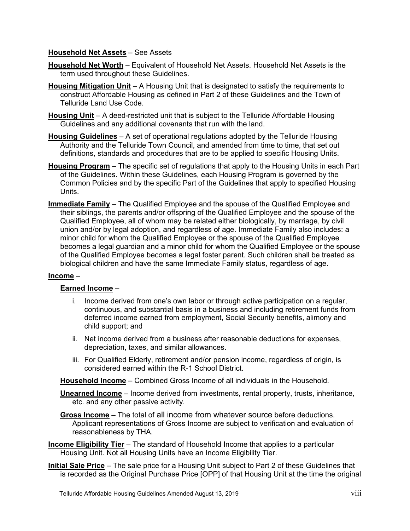### **Household Net Assets** – See Assets

- **Household Net Worth** Equivalent of Household Net Assets. Household Net Assets is the term used throughout these Guidelines.
- **Housing Mitigation Unit** A Housing Unit that is designated to satisfy the requirements to construct Affordable Housing as defined in [Part 2](#page-32-0) of these Guidelines and the Town of Telluride Land Use Code.
- **Housing Unit** A deed-restricted unit that is subject to the Telluride Affordable Housing Guidelines and any additional covenants that run with the land.
- **Housing Guidelines** A set of operational regulations adopted by the Telluride Housing Authority and the Telluride Town Council, and amended from time to time, that set out definitions, standards and procedures that are to be applied to specific Housing Units.
- **Housing Program** The specific set of regulations that apply to the Housing Units in each Part of the Guidelines. Within these Guidelines, each Housing Program is governed by the Common Policies and by the specific Part of the Guidelines that apply to specified Housing Units.
- **Immediate Family** The Qualified Employee and the spouse of the Qualified Employee and their siblings, the parents and/or offspring of the Qualified Employee and the spouse of the Qualified Employee, all of whom may be related either biologically, by marriage, by civil union and/or by legal adoption, and regardless of age. Immediate Family also includes: a minor child for whom the Qualified Employee or the spouse of the Qualified Employee becomes a legal guardian and a minor child for whom the Qualified Employee or the spouse of the Qualified Employee becomes a legal foster parent. Such children shall be treated as biological children and have the same Immediate Family status, regardless of age.

### **Income** –

### **Earned Income** –

- i. Income derived from one's own labor or through active participation on a regular, continuous, and substantial basis in a business and including retirement funds from deferred income earned from employment, Social Security benefits, alimony and child support; and
- ii. Net income derived from a business after reasonable deductions for expenses, depreciation, taxes, and similar allowances.
- iii. For Qualified Elderly, retirement and/or pension income, regardless of origin, is considered earned within the R-1 School District.

**Household Income** – Combined Gross Income of all individuals in the Household.

**Unearned Income** – Income derived from investments, rental property, trusts, inheritance, etc. and any other passive activity.

**Gross Income –** The total of all income from whatever source before deductions. Applicant representations of Gross Income are subject to verification and evaluation of reasonableness by THA.

- **Income Eligibility Tier** The standard of Household Income that applies to a particular Housing Unit. Not all Housing Units have an Income Eligibility Tier.
- **Initial Sale Price** The sale price for a Housing Unit subject to Part 2 of these Guidelines that is recorded as the Original Purchase Price [OPP] of that Housing Unit at the time the original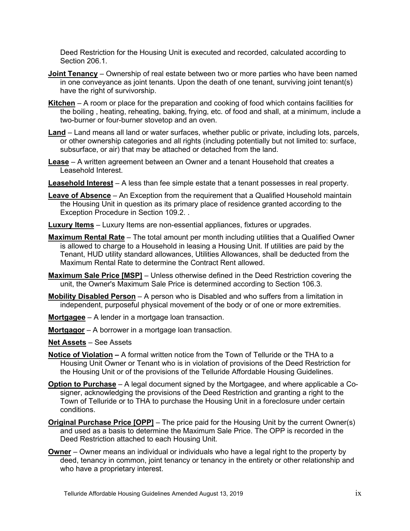Deed Restriction for the Housing Unit is executed and recorded, calculated according to Section [206.1.](#page-33-3)

- **Joint Tenancy** Ownership of real estate between two or more parties who have been named in one conveyance as joint tenants. Upon the death of one tenant, surviving joint tenant(s) have the right of survivorship.
- **Kitchen** A room or place for the preparation and cooking of food which contains facilities for the boiling , heating, reheating, baking, frying, etc. of food and shall, at a minimum, include a two-burner or four-burner stovetop and an oven.
- **Land** Land means all land or water surfaces, whether public or private, including lots, parcels, or other ownership categories and all rights (including potentially but not limited to: surface, subsurface, or air) that may be attached or detached from the land.
- **Lease** A written agreement between an Owner and a tenant Household that creates a Leasehold Interest.
- **Leasehold Interest** A less than fee simple estate that a tenant possesses in real property.
- **Leave of Absence** An Exception from the requirement that a Qualified Household maintain the Housing Unit in question as its primary place of residence granted according to the Exception Procedure in Section [109.2.](#page-27-0) .
- **Luxury Items** Luxury Items are non-essential appliances, fixtures or upgrades.
- **Maximum Rental Rate** The total amount per month including utilities that a Qualified Owner is allowed to charge to a Household in leasing a Housing Unit. If utilities are paid by the Tenant, HUD utility standard allowances, Utilities Allowances, shall be deducted from the Maximum Rental Rate to determine the Contract Rent allowed.
- **Maximum Sale Price [MSP]** Unless otherwise defined in the Deed Restriction covering the unit, the Owner's Maximum Sale Price is determined according to Section [106.3.](#page-20-1)
- **Mobility Disabled Person** A person who is Disabled and who suffers from a limitation in independent, purposeful physical movement of the body or of one or more extremities.
- **Mortgagee** A lender in a mortgage loan transaction.
- **Mortgagor** A borrower in a mortgage loan transaction.
- **Net Assets** See Assets
- **Notice of Violation** A formal written notice from the Town of Telluride or the THA to a Housing Unit Owner or Tenant who is in violation of provisions of the Deed Restriction for the Housing Unit or of the provisions of the Telluride Affordable Housing Guidelines.
- **Option to Purchase** A legal document signed by the Mortgagee, and where applicable a Cosigner, acknowledging the provisions of the Deed Restriction and granting a right to the Town of Telluride or to THA to purchase the Housing Unit in a foreclosure under certain conditions.
- **Original Purchase Price [OPP]** The price paid for the Housing Unit by the current Owner(s) and used as a basis to determine the Maximum Sale Price. The OPP is recorded in the Deed Restriction attached to each Housing Unit.
- **Owner** Owner means an individual or individuals who have a legal right to the property by deed, tenancy in common, joint tenancy or tenancy in the entirety or other relationship and who have a proprietary interest.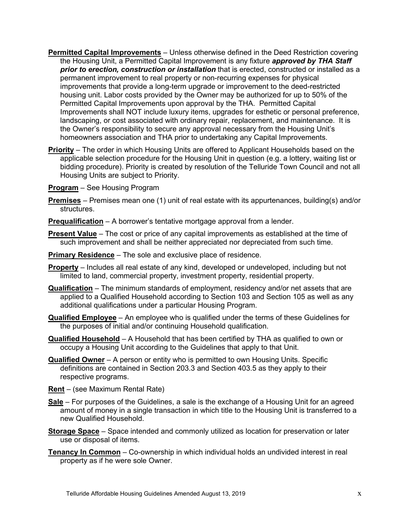**Permitted Capital Improvements** – Unless otherwise defined in the Deed Restriction covering the Housing Unit, a Permitted Capital Improvement is any fixture *approved by THA Staff prior to erection, construction or installation* that is erected, constructed or installed as a permanent improvement to real property or non-recurring expenses for physical improvements that provide a long-term upgrade or improvement to the deed-restricted housing unit. Labor costs provided by the Owner may be authorized for up to 50% of the Permitted Capital Improvements upon approval by the THA. Permitted Capital Improvements shall NOT include luxury items, upgrades for esthetic or personal preference, landscaping, or cost associated with ordinary repair, replacement, and maintenance. It is the Owner's responsibility to secure any approval necessary from the Housing Unit's homeowners association and THA prior to undertaking any Capital Improvements.

- **Priority** The order in which Housing Units are offered to Applicant Households based on the applicable selection procedure for the Housing Unit in question (e.g. a lottery, waiting list or bidding procedure). Priority is created by resolution of the Telluride Town Council and not all Housing Units are subject to Priority.
- **Program** See Housing Program
- **Premises** Premises mean one (1) unit of real estate with its appurtenances, building(s) and/or structures.
- **Prequalification** A borrower's tentative mortgage approval from a lender.
- **Present Value** The cost or price of any capital improvements as established at the time of such improvement and shall be neither appreciated nor depreciated from such time.
- **Primary Residence** The sole and exclusive place of residence.
- **Property** Includes all real estate of any kind, developed or undeveloped, including but not limited to land, commercial property, investment property, residential property.
- **Qualification** The minimum standards of employment, residency and/or net assets that are applied to a Qualified Household according to [Section 103](#page-13-0) and [Section 105](#page-18-0) as well as any additional qualifications under a particular Housing Program.
- **Qualified Employee** An employee who is qualified under the terms of these Guidelines for the purposes of initial and/or continuing Household qualification.
- **Qualified Household** A Household that has been certified by THA as qualified to own or occupy a Housing Unit according to the Guidelines that apply to that Unit.
- **Qualified Owner** A person or entity who is permitted to own Housing Units. Specific definitions are contained in Section [203.3](#page-32-4) and Section 403.5 as they apply to their respective programs.
- **Rent** (see Maximum Rental Rate)
- **Sale** For purposes of the Guidelines, a sale is the exchange of a Housing Unit for an agreed amount of money in a single transaction in which title to the Housing Unit is transferred to a new Qualified Household.
- **Storage Space** Space intended and commonly utilized as location for preservation or later use or disposal of items.
- **Tenancy In Common** Co-ownership in which individual holds an undivided interest in real property as if he were sole Owner.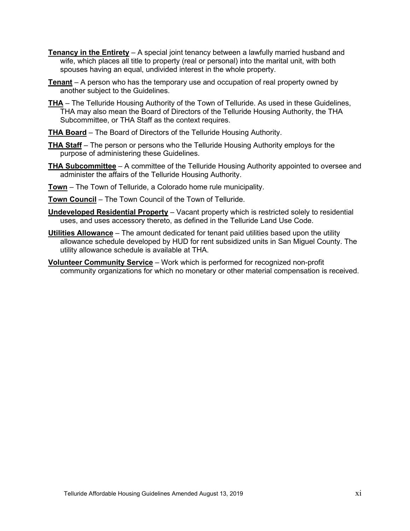- **Tenancy in the Entirety** A special joint tenancy between a lawfully married husband and wife, which places all title to property (real or personal) into the marital unit, with both spouses having an equal, undivided interest in the whole property.
- **Tenant** A person who has the temporary use and occupation of real property owned by another subject to the Guidelines.
- **THA** The Telluride Housing Authority of the Town of Telluride. As used in these Guidelines, THA may also mean the Board of Directors of the Telluride Housing Authority, the THA Subcommittee, or THA Staff as the context requires.
- **THA Board** The Board of Directors of the Telluride Housing Authority.
- **THA Staff** The person or persons who the Telluride Housing Authority employs for the purpose of administering these Guidelines.
- **THA Subcommittee** A committee of the Telluride Housing Authority appointed to oversee and administer the affairs of the Telluride Housing Authority.
- **Town** The Town of Telluride, a Colorado home rule municipality.
- **Town Council** The Town Council of the Town of Telluride.
- **Undeveloped Residential Property** Vacant property which is restricted solely to residential uses, and uses accessory thereto, as defined in the Telluride Land Use Code.
- **Utilities Allowance** The amount dedicated for tenant paid utilities based upon the utility allowance schedule developed by HUD for rent subsidized units in San Miguel County. The utility allowance schedule is available at THA.
- **Volunteer Community Service** Work which is performed for recognized non-profit community organizations for which no monetary or other material compensation is received.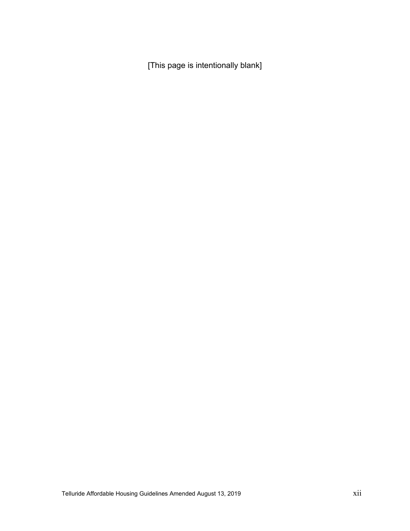[This page is intentionally blank]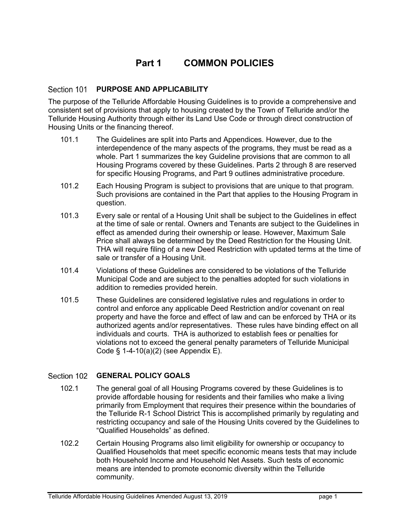## **Part 1 COMMON POLICIES**

## <span id="page-12-1"></span><span id="page-12-0"></span>Section 101 PURPOSE AND APPLICABILITY

The purpose of the Telluride Affordable Housing Guidelines is to provide a comprehensive and consistent set of provisions that apply to housing created by the Town of Telluride and/or the Telluride Housing Authority through either its Land Use Code or through direct construction of Housing Units or the financing thereof.

- 101.1 The Guidelines are split into Parts and Appendices. However, due to the interdependence of the many aspects of the programs, they must be read as a whole. [Part 1](#page-12-0) summarizes the key Guideline provisions that are common to all Housing Programs covered by these Guidelines. Parts 2 through 8 are reserved for specific Housing Programs, and Part 9 outlines administrative procedure.
- 101.2 Each Housing Program is subject to provisions that are unique to that program. Such provisions are contained in the Part that applies to the Housing Program in question.
- 101.3 Every sale or rental of a Housing Unit shall be subject to the Guidelines in effect at the time of sale or rental. Owners and Tenants are subject to the Guidelines in effect as amended during their ownership or lease. However, Maximum Sale Price shall always be determined by the Deed Restriction for the Housing Unit. THA will require filing of a new Deed Restriction with updated terms at the time of sale or transfer of a Housing Unit.
- 101.4 Violations of these Guidelines are considered to be violations of the Telluride Municipal Code and are subject to the penalties adopted for such violations in addition to remedies provided herein.
- 101.5 These Guidelines are considered legislative rules and regulations in order to control and enforce any applicable Deed Restriction and/or covenant on real property and have the force and effect of law and can be enforced by THA or its authorized agents and/or representatives. These rules have binding effect on all individuals and courts. THA is authorized to establish fees or penalties for violations not to exceed the general penalty parameters of Telluride Municipal Code § 1-4-10(a)(2) (see Appendix E).

### <span id="page-12-2"></span>Section 102 **GENERAL POLICY GOALS**

- 102.1 The general goal of all Housing Programs covered by these Guidelines is to provide affordable housing for residents and their families who make a living primarily from Employment that requires their presence within the boundaries of the Telluride R-1 School District This is accomplished primarily by regulating and restricting occupancy and sale of the Housing Units covered by the Guidelines to "Qualified Households" as defined.
- 102.2 Certain Housing Programs also limit eligibility for ownership or occupancy to Qualified Households that meet specific economic means tests that may include both Household Income and Household Net Assets. Such tests of economic means are intended to promote economic diversity within the Telluride community.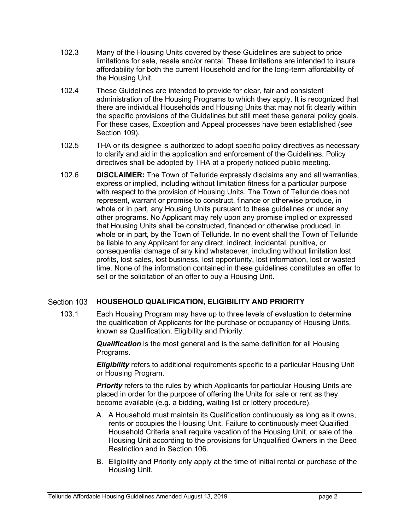- 102.3 Many of the Housing Units covered by these Guidelines are subject to price limitations for sale, resale and/or rental. These limitations are intended to insure affordability for both the current Household and for the long-term affordability of the Housing Unit.
- 102.4 These Guidelines are intended to provide for clear, fair and consistent administration of the Housing Programs to which they apply. It is recognized that there are individual Households and Housing Units that may not fit clearly within the specific provisions of the Guidelines but still meet these general policy goals. For these cases, Exception and Appeal processes have been established (see [Section 109\)](#page-26-0).
- 102.5 THA or its designee is authorized to adopt specific policy directives as necessary to clarify and aid in the application and enforcement of the Guidelines. Policy directives shall be adopted by THA at a properly noticed public meeting.
- 102.6 **DISCLAIMER:** The Town of Telluride expressly disclaims any and all warranties, express or implied, including without limitation fitness for a particular purpose with respect to the provision of Housing Units. The Town of Telluride does not represent, warrant or promise to construct, finance or otherwise produce, in whole or in part, any Housing Units pursuant to these guidelines or under any other programs. No Applicant may rely upon any promise implied or expressed that Housing Units shall be constructed, financed or otherwise produced, in whole or in part, by the Town of Telluride. In no event shall the Town of Telluride be liable to any Applicant for any direct, indirect, incidental, punitive, or consequential damage of any kind whatsoever, including without limitation lost profits, lost sales, lost business, lost opportunity, lost information, lost or wasted time. None of the information contained in these guidelines constitutes an offer to sell or the solicitation of an offer to buy a Housing Unit.

### <span id="page-13-0"></span>Section 103 **HOUSEHOLD QUALIFICATION, ELIGIBILITY AND PRIORITY**

103.1 Each Housing Program may have up to three levels of evaluation to determine the qualification of Applicants for the purchase or occupancy of Housing Units, known as Qualification, Eligibility and Priority.

> *Qualification* is the most general and is the same definition for all Housing Programs.

*Eligibility* refers to additional requirements specific to a particular Housing Unit or Housing Program.

*Priority* refers to the rules by which Applicants for particular Housing Units are placed in order for the purpose of offering the Units for sale or rent as they become available (e.g. a bidding, waiting list or lottery procedure).

- A. A Household must maintain its Qualification continuously as long as it owns, rents or occupies the Housing Unit. Failure to continuously meet Qualified Household Criteria shall require vacation of the Housing Unit, or sale of the Housing Unit according to the provisions for Unqualified Owners in the Deed Restriction and in [Section 106.](#page-20-0)
- B. Eligibility and Priority only apply at the time of initial rental or purchase of the Housing Unit.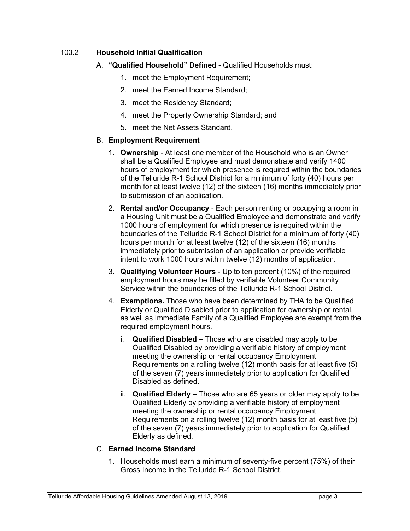## <span id="page-14-5"></span><span id="page-14-4"></span><span id="page-14-2"></span>103.2 **Household Initial Qualification**

- A. **"Qualified Household" Defined** Qualified Households must:
	- 1. meet the Employment Requirement;
	- 2. meet the Earned Income Standard;
	- 3. meet the Residency Standard;
	- 4. meet the Property Ownership Standard; and
	- 5. meet the Net Assets Standard.

## <span id="page-14-6"></span><span id="page-14-3"></span>B. **Employment Requirement**

- 1. **Ownership**  At least one member of the Household who is an Owner shall be a Qualified Employee and must demonstrate and verify 1400 hours of employment for which presence is required within the boundaries of the Telluride R-1 School District for a minimum of forty (40) hours per month for at least twelve (12) of the sixteen (16) months immediately prior to submission of an application.
- <span id="page-14-7"></span>2. **Rental and/or Occupancy** - Each person renting or occupying a room in a Housing Unit must be a Qualified Employee and demonstrate and verify 1000 hours of employment for which presence is required within the boundaries of the Telluride R-1 School District for a minimum of forty (40) hours per month for at least twelve (12) of the sixteen (16) months immediately prior to submission of an application or provide verifiable intent to work 1000 hours within twelve (12) months of application.
- 3. **Qualifying Volunteer Hours** Up to ten percent (10%) of the required employment hours may be filled by verifiable Volunteer Community Service within the boundaries of the Telluride R-1 School District.
- <span id="page-14-0"></span>4. **Exemptions.** Those who have been determined by THA to be Qualified Elderly or Qualified Disabled prior to application for ownership or rental, as well as Immediate Family of a Qualified Employee are exempt from the required employment hours.
	- i. **Qualified Disabled** Those who are disabled may apply to be Qualified Disabled by providing a verifiable history of employment meeting the ownership or rental occupancy Employment Requirements on a rolling twelve (12) month basis for at least five (5) of the seven (7) years immediately prior to application for Qualified Disabled as defined.
	- ii. **Qualified Elderly** Those who are 65 years or older may apply to be Qualified Elderly by providing a verifiable history of employment meeting the ownership or rental occupancy Employment Requirements on a rolling twelve (12) month basis for at least five (5) of the seven (7) years immediately prior to application for Qualified Elderly as defined.

## <span id="page-14-8"></span><span id="page-14-1"></span>C. **Earned Income Standard**

1. Households must earn a minimum of seventy-five percent (75%) of their Gross Income in the Telluride R-1 School District.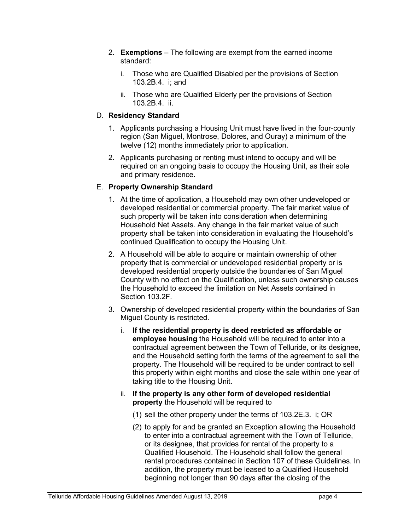- 2. **Exemptions** The following are exempt from the earned income standard:
	- i. Those who are Qualified Disabled per the provisions of Section [103.2B.4. i;](#page-14-0) and
	- ii. Those who are Qualified Elderly per the provisions of Section [103.2B.4. ii.](#page-14-1)

## D. **Residency Standard**

- 1. Applicants purchasing a Housing Unit must have lived in the four-county region (San Miguel, Montrose, Dolores, and Ouray) a minimum of the twelve (12) months immediately prior to application.
- 2. Applicants purchasing or renting must intend to occupy and will be required on an ongoing basis to occupy the Housing Unit, as their sole and primary residence.

## <span id="page-15-1"></span>E. **Property Ownership Standard**

- 1. At the time of application, a Household may own other undeveloped or developed residential or commercial property. The fair market value of such property will be taken into consideration when determining Household Net Assets. Any change in the fair market value of such property shall be taken into consideration in evaluating the Household's continued Qualification to occupy the Housing Unit.
- 2. A Household will be able to acquire or maintain ownership of other property that is commercial or undeveloped residential property or is developed residential property outside the boundaries of San Miguel County with no effect on the Qualification, unless such ownership causes the Household to exceed the limitation on Net Assets contained in Section [103.2F.](#page-16-0)
- <span id="page-15-0"></span>3. Ownership of developed residential property within the boundaries of San Miguel County is restricted.
	- i. **If the residential property is deed restricted as affordable or employee housing** the Household will be required to enter into a contractual agreement between the Town of Telluride, or its designee, and the Household setting forth the terms of the agreement to sell the property. The Household will be required to be under contract to sell this property within eight months and close the sale within one year of taking title to the Housing Unit.
	- ii. **If the property is any other form of developed residential property** the Household will be required to
		- (1) sell the other property under the terms of [103.2E.3. i;](#page-15-0) OR
		- (2) to apply for and be granted an Exception allowing the Household to enter into a contractual agreement with the Town of Telluride, or its designee, that provides for rental of the property to a Qualified Household. The Household shall follow the general rental procedures contained in [Section 107](#page-22-0) of these Guidelines. In addition, the property must be leased to a Qualified Household beginning not longer than 90 days after the closing of the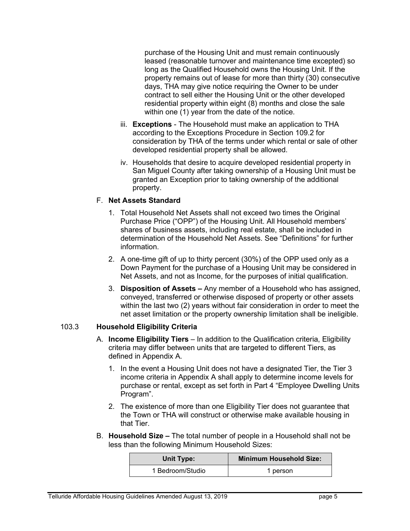purchase of the Housing Unit and must remain continuously leased (reasonable turnover and maintenance time excepted) so long as the Qualified Household owns the Housing Unit. If the property remains out of lease for more than thirty (30) consecutive days, THA may give notice requiring the Owner to be under contract to sell either the Housing Unit or the other developed residential property within eight (8) months and close the sale within one (1) year from the date of the notice.

- iii. **Exceptions** The Household must make an application to THA according to the Exceptions Procedure in Section [109.2](#page-27-0) for consideration by THA of the terms under which rental or sale of other developed residential property shall be allowed.
- iv. Households that desire to acquire developed residential property in San Miguel County after taking ownership of a Housing Unit must be granted an Exception prior to taking ownership of the additional property.

## <span id="page-16-0"></span>F. **Net Assets Standard**

- 1. Total Household Net Assets shall not exceed two times the Original Purchase Price ("OPP") of the Housing Unit. All Household members' shares of business assets, including real estate, shall be included in determination of the Household Net Assets. See "Definitions" for further information.
- 2. A one-time gift of up to thirty percent (30%) of the OPP used only as a Down Payment for the purchase of a Housing Unit may be considered in Net Assets, and not as Income, for the purposes of initial qualification.
- 3. **Disposition of Assets** Any member of a Household who has assigned, conveyed, transferred or otherwise disposed of property or other assets within the last two (2) years without fair consideration in order to meet the net asset limitation or the property ownership limitation shall be ineligible.

## 103.3 **Household Eligibility Criteria**

- A. **Income Eligibility Tiers** In addition to the Qualification criteria, Eligibility criteria may differ between units that are targeted to different Tiers, as defined in Appendix A.
	- 1. In the event a Housing Unit does not have a designated Tier, the Tier 3 income criteria in Appendix A shall apply to determine income levels for purchase or rental, except as set forth in [Part 4](#page-46-0) "Employee Dwelling Units Program".
	- 2. The existence of more than one Eligibility Tier does not guarantee that the Town or THA will construct or otherwise make available housing in that Tier.
- <span id="page-16-1"></span>B. **Household Size –** The total number of people in a Household shall not be less than the following Minimum Household Sizes:

| Unit Type:       | <b>Minimum Household Size:</b> |  |
|------------------|--------------------------------|--|
| 1 Bedroom/Studio | 1 person                       |  |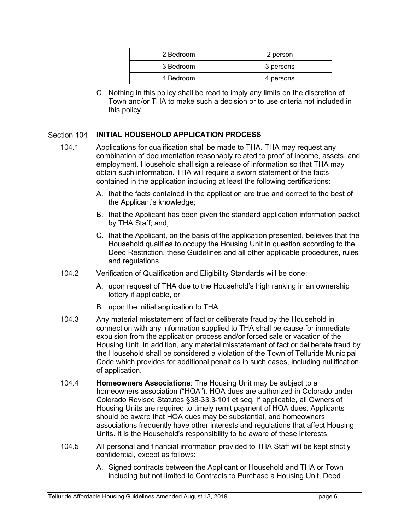| 2 Bedroom | 2 person  |  |
|-----------|-----------|--|
| 3 Bedroom | 3 persons |  |
| 4 Bedroom | 4 persons |  |

C. Nothing in this policy shall be read to imply any limits on the discretion of Town and/or THA to make such a decision or to use criteria not included in this policy.

#### <span id="page-17-0"></span>Section 104 **INITIAL HOUSEHOLD APPLICATION PROCESS**

- <span id="page-17-2"></span>104.1 Applications for qualification shall be made to THA. THA may request any combination of documentation reasonably related to proof of income, assets, and employment. Household shall sign a release of information so that THA may obtain such information. THA will require a sworn statement of the facts contained in the application including at least the following certifications:
	- A. that the facts contained in the application are true and correct to the best of the Applicant's knowledge;
	- B. that the Applicant has been given the standard application information packet by THA Staff; and,
	- C. that the Applicant, on the basis of the application presented, believes that the Household qualifies to occupy the Housing Unit in question according to the Deed Restriction, these Guidelines and all other applicable procedures, rules and regulations.
- 104.2 Verification of Qualification and Eligibility Standards will be done:
	- A. upon request of THA due to the Household's high ranking in an ownership lottery if applicable, or
	- B. upon the initial application to THA.
- 104.3 Any material misstatement of fact or deliberate fraud by the Household in connection with any information supplied to THA shall be cause for immediate expulsion from the application process and/or forced sale or vacation of the Housing Unit. In addition, any material misstatement of fact or deliberate fraud by the Household shall be considered a violation of the Town of Telluride Municipal Code which provides for additional penalties in such cases, including nullification of application.
- 104.4 **Homeowners Associations**: The Housing Unit may be subject to a homeowners association ("HOA"). HOA dues are authorized in Colorado under Colorado Revised Statutes §38-33.3-101 et seq. If applicable, all Owners of Housing Units are required to timely remit payment of HOA dues. Applicants should be aware that HOA dues may be substantial, and homeowners associations frequently have other interests and regulations that affect Housing Units. It is the Household's responsibility to be aware of these interests.
- <span id="page-17-1"></span>104.5 All personal and financial information provided to THA Staff will be kept strictly confidential, except as follows:
	- A. Signed contracts between the Applicant or Household and THA or Town including but not limited to Contracts to Purchase a Housing Unit, Deed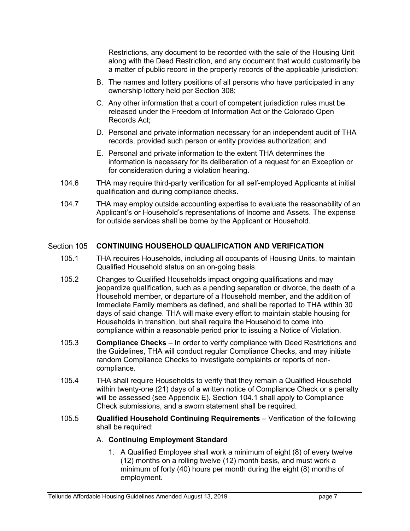Restrictions, any document to be recorded with the sale of the Housing Unit along with the Deed Restriction, and any document that would customarily be a matter of public record in the property records of the applicable jurisdiction;

- B. The names and lottery positions of all persons who have participated in any ownership lottery held per [Section 308;](#page-42-1)
- C. Any other information that a court of competent jurisdiction rules must be released under the Freedom of Information Act or the Colorado Open Records Act;
- D. Personal and private information necessary for an independent audit of THA records, provided such person or entity provides authorization; and
- E. Personal and private information to the extent THA determines the information is necessary for its deliberation of a request for an Exception or for consideration during a violation hearing.
- 104.6 THA may require third-party verification for all self-employed Applicants at initial qualification and during compliance checks.
- 104.7 THA may employ outside accounting expertise to evaluate the reasonability of an Applicant's or Household's representations of Income and Assets. The expense for outside services shall be borne by the Applicant or Household.

### <span id="page-18-0"></span>**CONTINUING HOUSEHOLD QUALIFICATION AND VERIFICATION** Section 105

- 105.1 THA requires Households, including all occupants of Housing Units, to maintain Qualified Household status on an on-going basis.
- 105.2 Changes to Qualified Households impact ongoing qualifications and may jeopardize qualification, such as a pending separation or divorce, the death of a Household member, or departure of a Household member, and the addition of Immediate Family members as defined, and shall be reported to THA within 30 days of said change. THA will make every effort to maintain stable housing for Households in transition, but shall require the Household to come into compliance within a reasonable period prior to issuing a Notice of Violation.
- 105.3 **Compliance Checks** In order to verify compliance with Deed Restrictions and the Guidelines, THA will conduct regular Compliance Checks, and may initiate random Compliance Checks to investigate complaints or reports of noncompliance.
- 105.4 THA shall require Households to verify that they remain a Qualified Household within twenty-one (21) days of a written notice of Compliance Check or a penalty will be assessed (see Appendix E). [Section 104.](#page-17-0)1 shall apply to Compliance Check submissions, and a sworn statement shall be required.
- <span id="page-18-1"></span>105.5 **Qualified Household Continuing Requirements** – Verification of the following shall be required:

## A. **Continuing Employment Standard**

1. A Qualified Employee shall work a minimum of eight (8) of every twelve (12) months on a rolling twelve (12) month basis, and must work a minimum of forty (40) hours per month during the eight (8) months of employment.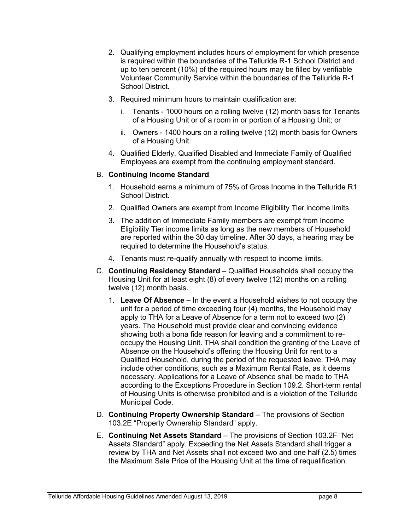- 2. Qualifying employment includes hours of employment for which presence is required within the boundaries of the Telluride R-1 School District and up to ten percent (10%) of the required hours may be filled by verifiable Volunteer Community Service within the boundaries of the Telluride R-1 School District.
- 3. Required minimum hours to maintain qualification are:
	- i. Tenants 1000 hours on a rolling twelve (12) month basis for Tenants of a Housing Unit or of a room in or portion of a Housing Unit; or
	- ii. Owners 1400 hours on a rolling twelve (12) month basis for Owners of a Housing Unit.
- 4. Qualified Elderly, Qualified Disabled and Immediate Family of Qualified Employees are exempt from the continuing employment standard.

## B. **Continuing Income Standard**

- 1. Household earns a minimum of 75% of Gross Income in the Telluride R1 School District.
- 2. Qualified Owners are exempt from Income Eligibility Tier income limits.
- 3. The addition of Immediate Family members are exempt from Income Eligibility Tier income limits as long as the new members of Household are reported within the 30 day timeline. After 30 days, a hearing may be required to determine the Household's status.
- 4. Tenants must re-qualify annually with respect to income limits.
- C. **Continuing Residency Standard** Qualified Households shall occupy the Housing Unit for at least eight (8) of every twelve (12) months on a rolling twelve (12) month basis.
	- 1. **Leave Of Absence –** In the event a Household wishes to not occupy the unit for a period of time exceeding four (4) months, the Household may apply to THA for a Leave of Absence for a term not to exceed two (2) years. The Household must provide clear and convincing evidence showing both a bona fide reason for leaving and a commitment to reoccupy the Housing Unit. THA shall condition the granting of the Leave of Absence on the Household's offering the Housing Unit for rent to a Qualified Household, during the period of the requested leave. THA may include other conditions, such as a Maximum Rental Rate, as it deems necessary. Applications for a Leave of Absence shall be made to THA according to the Exceptions Procedure in Section [109.2.](#page-27-0) Short-term rental of Housing Units is otherwise prohibited and is a violation of the Telluride Municipal Code.
- D. **Continuing Property Ownership Standard**  The provisions of Section [103.2E](#page-15-1) "Property Ownership Standard" apply.
- E. **Continuing Net Assets Standard**  The provisions of Section [103.2F](#page-16-0) "Net Assets Standard" apply. Exceeding the Net Assets Standard shall trigger a review by THA and Net Assets shall not exceed two and one half (2.5) times the Maximum Sale Price of the Housing Unit at the time of requalification.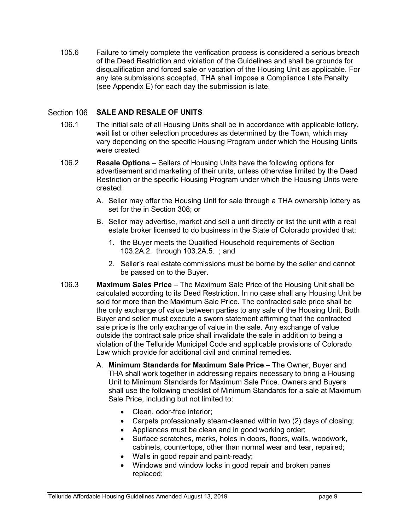105.6 Failure to timely complete the verification process is considered a serious breach of the Deed Restriction and violation of the Guidelines and shall be grounds for disqualification and forced sale or vacation of the Housing Unit as applicable. For any late submissions accepted, THA shall impose a Compliance Late Penalty (see Appendix E) for each day the submission is late.

#### <span id="page-20-0"></span>**SALE AND RESALE OF UNITS** Section 106

- 106.1 The initial sale of all Housing Units shall be in accordance with applicable lottery, wait list or other selection procedures as determined by the Town, which may vary depending on the specific Housing Program under which the Housing Units were created.
- 106.2 **Resale Options** Sellers of Housing Units have the following options for advertisement and marketing of their units, unless otherwise limited by the Deed Restriction or the specific Housing Program under which the Housing Units were created:
	- A. Seller may offer the Housing Unit for sale through a THA ownership lottery as set for the in [Section 308;](#page-42-1) or
	- B. Seller may advertise, market and sell a unit directly or list the unit with a real estate broker licensed to do business in the State of Colorado provided that:
		- 1. the Buyer meets the Qualified Household requirements of Section [103.2A.2. t](#page-14-2)hrough [103.2A.5. ;](#page-14-3) and
		- 2. Seller's real estate commissions must be borne by the seller and cannot be passed on to the Buyer.
- <span id="page-20-2"></span><span id="page-20-1"></span>106.3 **Maximum Sales Price** – The Maximum Sale Price of the Housing Unit shall be calculated according to its Deed Restriction. In no case shall any Housing Unit be sold for more than the Maximum Sale Price. The contracted sale price shall be the only exchange of value between parties to any sale of the Housing Unit. Both Buyer and seller must execute a sworn statement affirming that the contracted sale price is the only exchange of value in the sale. Any exchange of value outside the contract sale price shall invalidate the sale in addition to being a violation of the Telluride Municipal Code and applicable provisions of Colorado Law which provide for additional civil and criminal remedies.
	- A. **Minimum Standards for Maximum Sale Price** The Owner, Buyer and THA shall work together in addressing repairs necessary to bring a Housing Unit to Minimum Standards for Maximum Sale Price. Owners and Buyers shall use the following checklist of Minimum Standards for a sale at Maximum Sale Price, including but not limited to:
		- Clean, odor-free interior;
		- Carpets professionally steam-cleaned within two (2) days of closing;
		- Appliances must be clean and in good working order;
		- Surface scratches, marks, holes in doors, floors, walls, woodwork, cabinets, countertops, other than normal wear and tear, repaired;
		- Walls in good repair and paint-ready;
		- Windows and window locks in good repair and broken panes replaced;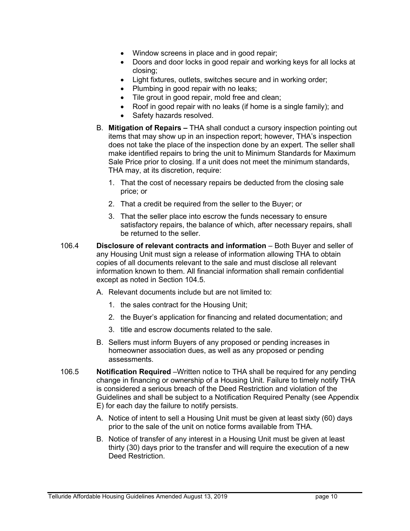- Window screens in place and in good repair;
- Doors and door locks in good repair and working keys for all locks at closing;
- Light fixtures, outlets, switches secure and in working order;
- Plumbing in good repair with no leaks;
- Tile grout in good repair, mold free and clean;
- Roof in good repair with no leaks (if home is a single family); and
- Safety hazards resolved.
- B. **Mitigation of Repairs –** THA shall conduct a cursory inspection pointing out items that may show up in an inspection report; however, THA's inspection does not take the place of the inspection done by an expert. The seller shall make identified repairs to bring the unit to Minimum Standards for Maximum Sale Price prior to closing. If a unit does not meet the minimum standards, THA may, at its discretion, require:
	- 1. That the cost of necessary repairs be deducted from the closing sale price; or
	- 2. That a credit be required from the seller to the Buyer; or
	- 3. That the seller place into escrow the funds necessary to ensure satisfactory repairs, the balance of which, after necessary repairs, shall be returned to the seller.
- 106.4 **Disclosure of relevant contracts and information** Both Buyer and seller of any Housing Unit must sign a release of information allowing THA to obtain copies of all documents relevant to the sale and must disclose all relevant information known to them. All financial information shall remain confidential except as noted in Section [104.5.](#page-17-1)
	- A. Relevant documents include but are not limited to:
		- 1. the sales contract for the Housing Unit;
		- 2. the Buyer's application for financing and related documentation; and
		- 3. title and escrow documents related to the sale.
	- B. Sellers must inform Buyers of any proposed or pending increases in homeowner association dues, as well as any proposed or pending assessments.
- 106.5 **Notification Required** –Written notice to THA shall be required for any pending change in financing or ownership of a Housing Unit. Failure to timely notify THA is considered a serious breach of the Deed Restriction and violation of the Guidelines and shall be subject to a Notification Required Penalty (see Appendix E) for each day the failure to notify persists.
	- A. Notice of intent to sell a Housing Unit must be given at least sixty (60) days prior to the sale of the unit on notice forms available from THA.
	- B. Notice of transfer of any interest in a Housing Unit must be given at least thirty (30) days prior to the transfer and will require the execution of a new Deed Restriction.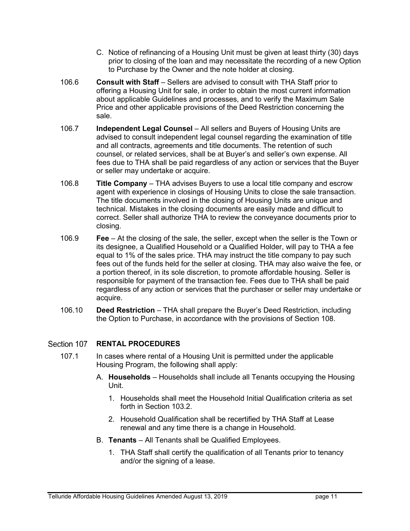- C. Notice of refinancing of a Housing Unit must be given at least thirty (30) days prior to closing of the loan and may necessitate the recording of a new Option to Purchase by the Owner and the note holder at closing.
- 106.6 **Consult with Staff** Sellers are advised to consult with THA Staff prior to offering a Housing Unit for sale, in order to obtain the most current information about applicable Guidelines and processes, and to verify the Maximum Sale Price and other applicable provisions of the Deed Restriction concerning the sale.
- 106.7 **Independent Legal Counsel** All sellers and Buyers of Housing Units are advised to consult independent legal counsel regarding the examination of title and all contracts, agreements and title documents. The retention of such counsel, or related services, shall be at Buyer's and seller's own expense. All fees due to THA shall be paid regardless of any action or services that the Buyer or seller may undertake or acquire.
- 106.8 **Title Company** THA advises Buyers to use a local title company and escrow agent with experience in closings of Housing Units to close the sale transaction. The title documents involved in the closing of Housing Units are unique and technical. Mistakes in the closing documents are easily made and difficult to correct. Seller shall authorize THA to review the conveyance documents prior to closing.
- 106.9 **Fee** At the closing of the sale, the seller, except when the seller is the Town or its designee, a Qualified Household or a Qualified Holder, will pay to THA a fee equal to 1% of the sales price. THA may instruct the title company to pay such fees out of the funds held for the seller at closing. THA may also waive the fee, or a portion thereof, in its sole discretion, to promote affordable housing. Seller is responsible for payment of the transaction fee. Fees due to THA shall be paid regardless of any action or services that the purchaser or seller may undertake or acquire.
- 106.10 **Deed Restriction** THA shall prepare the Buyer's Deed Restriction, including the Option to Purchase, in accordance with the provisions of [Section 108.](#page-24-0)

### <span id="page-22-0"></span>Section 107 **RENTAL PROCEDURES**

- 107.1 In cases where rental of a Housing Unit is permitted under the applicable Housing Program, the following shall apply:
	- A. **Households** Households shall include all Tenants occupying the Housing Unit.
		- 1. Households shall meet the Household Initial Qualification criteria as set forth in Section [103.2.](#page-14-4)
		- 2. Household Qualification shall be recertified by THA Staff at Lease renewal and any time there is a change in Household.
	- B. **Tenants** All Tenants shall be Qualified Employees.
		- 1. THA Staff shall certify the qualification of all Tenants prior to tenancy and/or the signing of a lease.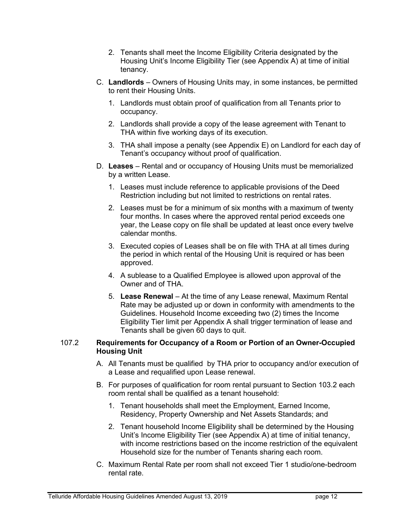- 2. Tenants shall meet the Income Eligibility Criteria designated by the Housing Unit's Income Eligibility Tier (see Appendix A) at time of initial tenancy.
- C. **Landlords** Owners of Housing Units may, in some instances, be permitted to rent their Housing Units.
	- 1. Landlords must obtain proof of qualification from all Tenants prior to occupancy.
	- 2. Landlords shall provide a copy of the lease agreement with Tenant to THA within five working days of its execution.
	- 3. THA shall impose a penalty (see Appendix E) on Landlord for each day of Tenant's occupancy without proof of qualification.
- D. **Leases** Rental and or occupancy of Housing Units must be memorialized by a written Lease.
	- 1. Leases must include reference to applicable provisions of the Deed Restriction including but not limited to restrictions on rental rates.
	- 2. Leases must be for a minimum of six months with a maximum of twenty four months. In cases where the approved rental period exceeds one year, the Lease copy on file shall be updated at least once every twelve calendar months.
	- 3. Executed copies of Leases shall be on file with THA at all times during the period in which rental of the Housing Unit is required or has been approved.
	- 4. A sublease to a Qualified Employee is allowed upon approval of the Owner and of THA.
	- 5. **Lease Renewal** At the time of any Lease renewal, Maximum Rental Rate may be adjusted up or down in conformity with amendments to the Guidelines. Household Income exceeding two (2) times the Income Eligibility Tier limit per Appendix A shall trigger termination of lease and Tenants shall be given 60 days to quit.

## 107.2 **Requirements for Occupancy of a Room or Portion of an Owner-Occupied Housing Unit**

- A. All Tenants must be qualified by THA prior to occupancy and/or execution of a Lease and requalified upon Lease renewal.
- B. For purposes of qualification for room rental pursuant to Section 103.2 each room rental shall be qualified as a tenant household:
	- 1. Tenant households shall meet the Employment, Earned Income, Residency, Property Ownership and Net Assets Standards; and
	- 2. Tenant household Income Eligibility shall be determined by the Housing Unit's Income Eligibility Tier (see Appendix A) at time of initial tenancy, with income restrictions based on the income restriction of the equivalent Household size for the number of Tenants sharing each room.
- C. Maximum Rental Rate per room shall not exceed Tier 1 studio/one-bedroom rental rate.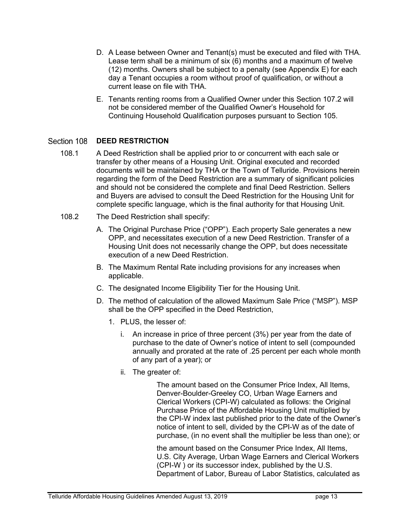- D. A Lease between Owner and Tenant(s) must be executed and filed with THA. Lease term shall be a minimum of six (6) months and a maximum of twelve (12) months. Owners shall be subject to a penalty (see Appendix E) for each day a Tenant occupies a room without proof of qualification, or without a current lease on file with THA.
- E. Tenants renting rooms from a Qualified Owner under this Section 107.2 will not be considered member of the Qualified Owner's Household for Continuing Household Qualification purposes pursuant to Section 105.

### <span id="page-24-0"></span>Section 108 **DEED RESTRICTION**

- 108.1 A Deed Restriction shall be applied prior to or concurrent with each sale or transfer by other means of a Housing Unit. Original executed and recorded documents will be maintained by THA or the Town of Telluride. Provisions herein regarding the form of the Deed Restriction are a summary of significant policies and should not be considered the complete and final Deed Restriction. Sellers and Buyers are advised to consult the Deed Restriction for the Housing Unit for complete specific language, which is the final authority for that Housing Unit.
- 108.2 The Deed Restriction shall specify:
	- A. The Original Purchase Price ("OPP"). Each property Sale generates a new OPP, and necessitates execution of a new Deed Restriction. Transfer of a Housing Unit does not necessarily change the OPP, but does necessitate execution of a new Deed Restriction.
	- B. The Maximum Rental Rate including provisions for any increases when applicable.
	- C. The designated Income Eligibility Tier for the Housing Unit.
	- D. The method of calculation of the allowed Maximum Sale Price ("MSP"). MSP shall be the OPP specified in the Deed Restriction,
		- 1. PLUS, the lesser of:
			- i. An increase in price of three percent (3%) per year from the date of purchase to the date of Owner's notice of intent to sell (compounded annually and prorated at the rate of .25 percent per each whole month of any part of a year); or
			- ii. The greater of:

The amount based on the Consumer Price Index, All Items, Denver-Boulder-Greeley CO, Urban Wage Earners and Clerical Workers (CPI-W) calculated as follows: the Original Purchase Price of the Affordable Housing Unit multiplied by the CPI-W index last published prior to the date of the Owner's notice of intent to sell, divided by the CPI-W as of the date of purchase, (in no event shall the multiplier be less than one); or

the amount based on the Consumer Price Index, All Items, U.S. City Average, Urban Wage Earners and Clerical Workers (CPI-W ) or its successor index, published by the U.S. Department of Labor, Bureau of Labor Statistics, calculated as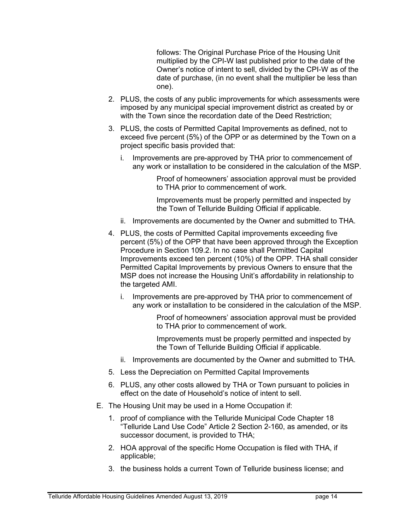follows: The Original Purchase Price of the Housing Unit multiplied by the CPI-W last published prior to the date of the Owner's notice of intent to sell, divided by the CPI-W as of the date of purchase, (in no event shall the multiplier be less than one).

- 2. PLUS, the costs of any public improvements for which assessments were imposed by any municipal special improvement district as created by or with the Town since the recordation date of the Deed Restriction;
- 3. PLUS, the costs of Permitted Capital Improvements as defined, not to exceed five percent (5%) of the OPP or as determined by the Town on a project specific basis provided that:
	- i. Improvements are pre-approved by THA prior to commencement of any work or installation to be considered in the calculation of the MSP.

Proof of homeowners' association approval must be provided to THA prior to commencement of work.

Improvements must be properly permitted and inspected by the Town of Telluride Building Official if applicable.

- ii. Improvements are documented by the Owner and submitted to THA.
- 4. PLUS, the costs of Permitted Capital improvements exceeding five percent (5%) of the OPP that have been approved through the Exception Procedure in Section [109.2.](#page-27-0) In no case shall Permitted Capital Improvements exceed ten percent (10%) of the OPP. THA shall consider Permitted Capital Improvements by previous Owners to ensure that the MSP does not increase the Housing Unit's affordability in relationship to the targeted AMI.
	- i. Improvements are pre-approved by THA prior to commencement of any work or installation to be considered in the calculation of the MSP.

Proof of homeowners' association approval must be provided to THA prior to commencement of work.

Improvements must be properly permitted and inspected by the Town of Telluride Building Official if applicable.

- ii. Improvements are documented by the Owner and submitted to THA.
- 5. Less the Depreciation on Permitted Capital Improvements
- 6. PLUS, any other costs allowed by THA or Town pursuant to policies in effect on the date of Household's notice of intent to sell.
- E. The Housing Unit may be used in a Home Occupation if:
	- 1. proof of compliance with the Telluride Municipal Code Chapter 18 "Telluride Land Use Code" Article 2 Section 2-160, as amended, or its successor document, is provided to THA;
	- 2. HOA approval of the specific Home Occupation is filed with THA, if applicable;
	- 3. the business holds a current Town of Telluride business license; and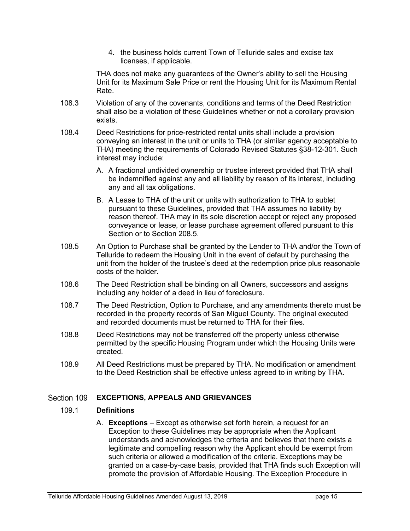4. the business holds current Town of Telluride sales and excise tax licenses, if applicable.

THA does not make any guarantees of the Owner's ability to sell the Housing Unit for its Maximum Sale Price or rent the Housing Unit for its Maximum Rental Rate.

- 108.3 Violation of any of the covenants, conditions and terms of the Deed Restriction shall also be a violation of these Guidelines whether or not a corollary provision exists.
- 108.4 Deed Restrictions for price-restricted rental units shall include a provision conveying an interest in the unit or units to THA (or similar agency acceptable to THA) meeting the requirements of Colorado Revised Statutes §38-12-301. Such interest may include:
	- A. A fractional undivided ownership or trustee interest provided that THA shall be indemnified against any and all liability by reason of its interest, including any and all tax obligations.
	- B. A Lease to THA of the unit or units with authorization to THA to sublet pursuant to these Guidelines, provided that THA assumes no liability by reason thereof. THA may in its sole discretion accept or reject any proposed conveyance or lease, or lease purchase agreement offered pursuant to this Section or to Section [208.5.](#page-35-1)
- 108.5 An Option to Purchase shall be granted by the Lender to THA and/or the Town of Telluride to redeem the Housing Unit in the event of default by purchasing the unit from the holder of the trustee's deed at the redemption price plus reasonable costs of the holder.
- 108.6 The Deed Restriction shall be binding on all Owners, successors and assigns including any holder of a deed in lieu of foreclosure.
- 108.7 The Deed Restriction, Option to Purchase, and any amendments thereto must be recorded in the property records of San Miguel County. The original executed and recorded documents must be returned to THA for their files.
- 108.8 Deed Restrictions may not be transferred off the property unless otherwise permitted by the specific Housing Program under which the Housing Units were created.
- 108.9 All Deed Restrictions must be prepared by THA. No modification or amendment to the Deed Restriction shall be effective unless agreed to in writing by THA.

### <span id="page-26-0"></span>Section 109 **EXCEPTIONS, APPEALS AND GRIEVANCES**

## 109.1 **Definitions**

A. **Exceptions** – Except as otherwise set forth herein, a request for an Exception to these Guidelines may be appropriate when the Applicant understands and acknowledges the criteria and believes that there exists a legitimate and compelling reason why the Applicant should be exempt from such criteria or allowed a modification of the criteria. Exceptions may be granted on a case-by-case basis, provided that THA finds such Exception will promote the provision of Affordable Housing. The Exception Procedure in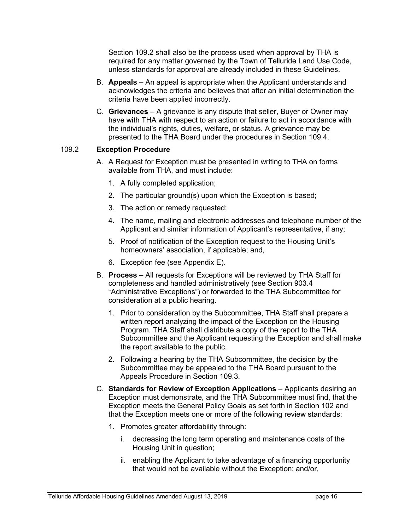Section [109.2](#page-27-0) shall also be the process used when approval by THA is required for any matter governed by the Town of Telluride Land Use Code, unless standards for approval are already included in these Guidelines.

- B. **Appeals** An appeal is appropriate when the Applicant understands and acknowledges the criteria and believes that after an initial determination the criteria have been applied incorrectly.
- C. **Grievances** A grievance is any dispute that seller, Buyer or Owner may have with THA with respect to an action or failure to act in accordance with the individual's rights, duties, welfare, or status. A grievance may be presented to the THA Board under the procedures in Section [109.4.](#page-29-0)

## <span id="page-27-0"></span>109.2 **Exception Procedure**

- A. A Request for Exception must be presented in writing to THA on forms available from THA, and must include:
	- 1. A fully completed application;
	- 2. The particular ground(s) upon which the Exception is based;
	- 3. The action or remedy requested;
	- 4. The name, mailing and electronic addresses and telephone number of the Applicant and similar information of Applicant's representative, if any;
	- 5. Proof of notification of the Exception request to the Housing Unit's homeowners' association, if applicable; and,
	- 6. Exception fee (see Appendix E).
- B. **Process –** All requests for Exceptions will be reviewed by THA Staff for completeness and handled administratively (see Section [903.4](#page-52-0) "Administrative Exceptions") or forwarded to the THA Subcommittee for consideration at a public hearing.
	- 1. Prior to consideration by the Subcommittee, THA Staff shall prepare a written report analyzing the impact of the Exception on the Housing Program. THA Staff shall distribute a copy of the report to the THA Subcommittee and the Applicant requesting the Exception and shall make the report available to the public.
	- 2. Following a hearing by the THA Subcommittee, the decision by the Subcommittee may be appealed to the THA Board pursuant to the Appeals Procedure in Section [109.3.](#page-28-0)
- C. **Standards for Review of Exception Applications** Applicants desiring an Exception must demonstrate, and the THA Subcommittee must find, that the Exception meets the General Policy Goals as set forth in [Section 102](#page-12-2) and that the Exception meets one or more of the following review standards:
	- 1. Promotes greater affordability through:
		- i. decreasing the long term operating and maintenance costs of the Housing Unit in question;
		- ii. enabling the Applicant to take advantage of a financing opportunity that would not be available without the Exception; and/or,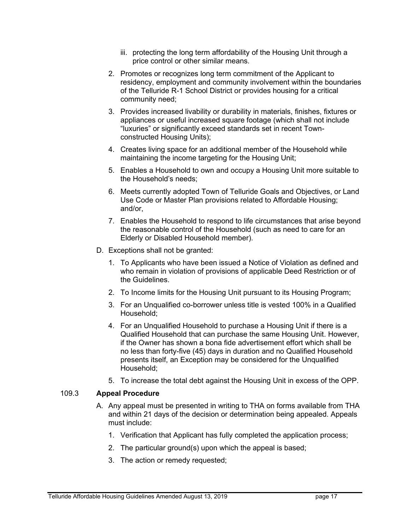- iii. protecting the long term affordability of the Housing Unit through a price control or other similar means.
- 2. Promotes or recognizes long term commitment of the Applicant to residency, employment and community involvement within the boundaries of the Telluride R-1 School District or provides housing for a critical community need;
- 3. Provides increased livability or durability in materials, finishes, fixtures or appliances or useful increased square footage (which shall not include "luxuries" or significantly exceed standards set in recent Townconstructed Housing Units);
- 4. Creates living space for an additional member of the Household while maintaining the income targeting for the Housing Unit;
- 5. Enables a Household to own and occupy a Housing Unit more suitable to the Household's needs;
- 6. Meets currently adopted Town of Telluride Goals and Objectives, or Land Use Code or Master Plan provisions related to Affordable Housing; and/or,
- 7. Enables the Household to respond to life circumstances that arise beyond the reasonable control of the Household (such as need to care for an Elderly or Disabled Household member).
- D. Exceptions shall not be granted:
	- 1. To Applicants who have been issued a Notice of Violation as defined and who remain in violation of provisions of applicable Deed Restriction or of the Guidelines.
	- 2. To Income limits for the Housing Unit pursuant to its Housing Program;
	- 3. For an Unqualified co-borrower unless title is vested 100% in a Qualified Household;
	- 4. For an Unqualified Household to purchase a Housing Unit if there is a Qualified Household that can purchase the same Housing Unit. However, if the Owner has shown a bona fide advertisement effort which shall be no less than forty-five (45) days in duration and no Qualified Household presents itself, an Exception may be considered for the Unqualified Household;
	- 5. To increase the total debt against the Housing Unit in excess of the OPP.

## <span id="page-28-0"></span>109.3 **Appeal Procedure**

- A. Any appeal must be presented in writing to THA on forms available from THA and within 21 days of the decision or determination being appealed. Appeals must include:
	- 1. Verification that Applicant has fully completed the application process;
	- 2. The particular ground(s) upon which the appeal is based;
	- 3. The action or remedy requested;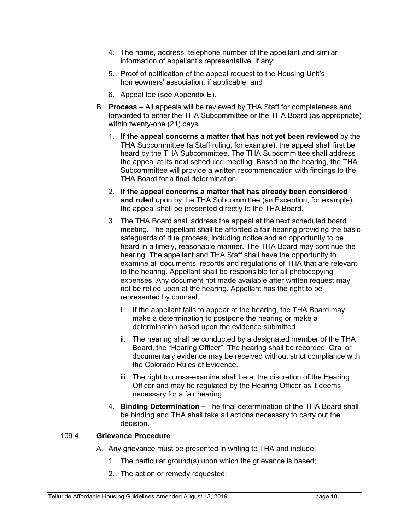- 4. The name, address, telephone number of the appellant and similar information of appellant's representative, if any;
- 5. Proof of notification of the appeal request to the Housing Unit's homeowners' association, if applicable; and
- 6. Appeal fee (see Appendix E).
- B. **Process** All appeals will be reviewed by THA Staff for completeness and forwarded to either the THA Subcommittee or the THA Board (as appropriate) within twenty-one (21) days.
	- 1. **If the appeal concerns a matter that has not yet been reviewed** by the THA Subcommittee (a Staff ruling, for example), the appeal shall first be heard by the THA Subcommittee. The THA Subcommittee shall address the appeal at its next scheduled meeting. Based on the hearing, the THA Subcommittee will provide a written recommendation with findings to the THA Board for a final determination.
	- 2. **If the appeal concerns a matter that has already been considered and ruled** upon by the THA Subcommittee (an Exception, for example), the appeal shall be presented directly to the THA Board.
	- 3. The THA Board shall address the appeal at the next scheduled board meeting. The appellant shall be afforded a fair hearing providing the basic safeguards of due process, including notice and an opportunity to be heard in a timely, reasonable manner. The THA Board may continue the hearing. The appellant and THA Staff shall have the opportunity to examine all documents, records and regulations of THA that are relevant to the hearing. Appellant shall be responsible for all photocopying expenses. Any document not made available after written request may not be relied upon at the hearing. Appellant has the right to be represented by counsel.
		- i. If the appellant fails to appear at the hearing, the THA Board may make a determination to postpone the hearing or make a determination based upon the evidence submitted.
		- ii. The hearing shall be conducted by a designated member of the THA Board, the "Hearing Officer". The hearing shall be recorded. Oral or documentary evidence may be received without strict compliance with the Colorado Rules of Evidence.
		- iii. The right to cross-examine shall be at the discretion of the Hearing Officer and may be regulated by the Hearing Officer as it deems necessary for a fair hearing.
	- 4. **Binding Determination –** The final determination of the THA Board shall be binding and THA shall take all actions necessary to carry out the decision.

## <span id="page-29-0"></span>109.4 **Grievance Procedure**

- A. Any grievance must be presented in writing to THA and include:
	- 1. The particular ground(s) upon which the grievance is based;
	- 2. The action or remedy requested;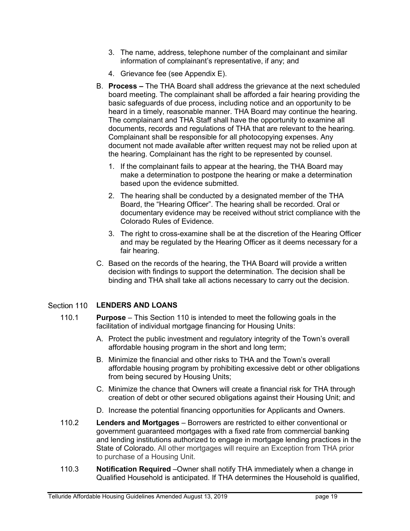- 3. The name, address, telephone number of the complainant and similar information of complainant's representative, if any; and
- 4. Grievance fee (see Appendix E).
- B. **Process** The THA Board shall address the grievance at the next scheduled board meeting. The complainant shall be afforded a fair hearing providing the basic safeguards of due process, including notice and an opportunity to be heard in a timely, reasonable manner. THA Board may continue the hearing. The complainant and THA Staff shall have the opportunity to examine all documents, records and regulations of THA that are relevant to the hearing. Complainant shall be responsible for all photocopying expenses. Any document not made available after written request may not be relied upon at the hearing. Complainant has the right to be represented by counsel.
	- 1. If the complainant fails to appear at the hearing, the THA Board may make a determination to postpone the hearing or make a determination based upon the evidence submitted.
	- 2. The hearing shall be conducted by a designated member of the THA Board, the "Hearing Officer". The hearing shall be recorded. Oral or documentary evidence may be received without strict compliance with the Colorado Rules of Evidence.
	- 3. The right to cross-examine shall be at the discretion of the Hearing Officer and may be regulated by the Hearing Officer as it deems necessary for a fair hearing.
- C. Based on the records of the hearing, the THA Board will provide a written decision with findings to support the determination. The decision shall be binding and THA shall take all actions necessary to carry out the decision.

## <span id="page-30-0"></span>Section 110 **LENDERS AND LOANS**

- 110.1 **Purpose** This Section 110 is intended to meet the following goals in the facilitation of individual mortgage financing for Housing Units:
	- A. Protect the public investment and regulatory integrity of the Town's overall affordable housing program in the short and long term;
	- B. Minimize the financial and other risks to THA and the Town's overall affordable housing program by prohibiting excessive debt or other obligations from being secured by Housing Units;
	- C. Minimize the chance that Owners will create a financial risk for THA through creation of debt or other secured obligations against their Housing Unit; and
	- D. Increase the potential financing opportunities for Applicants and Owners.
- <span id="page-30-1"></span>110.2 **Lenders and Mortgages** – Borrowers are restricted to either conventional or government guaranteed mortgages with a fixed rate from commercial banking and lending institutions authorized to engage in mortgage lending practices in the State of Colorado. All other mortgages will require an Exception from THA prior to purchase of a Housing Unit.
- 110.3 **Notification Required** –Owner shall notify THA immediately when a change in Qualified Household is anticipated. If THA determines the Household is qualified,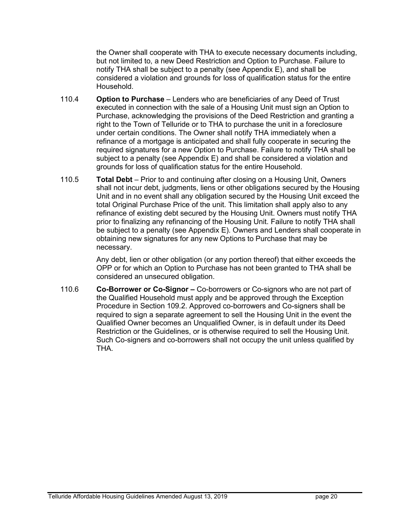the Owner shall cooperate with THA to execute necessary documents including, but not limited to, a new Deed Restriction and Option to Purchase. Failure to notify THA shall be subject to a penalty (see Appendix E), and shall be considered a violation and grounds for loss of qualification status for the entire Household.

- 110.4 **Option to Purchase** Lenders who are beneficiaries of any Deed of Trust executed in connection with the sale of a Housing Unit must sign an Option to Purchase, acknowledging the provisions of the Deed Restriction and granting a right to the Town of Telluride or to THA to purchase the unit in a foreclosure under certain conditions. The Owner shall notify THA immediately when a refinance of a mortgage is anticipated and shall fully cooperate in securing the required signatures for a new Option to Purchase. Failure to notify THA shall be subject to a penalty (see Appendix E) and shall be considered a violation and grounds for loss of qualification status for the entire Household.
- 110.5 **Total Debt** Prior to and continuing after closing on a Housing Unit, Owners shall not incur debt, judgments, liens or other obligations secured by the Housing Unit and in no event shall any obligation secured by the Housing Unit exceed the total Original Purchase Price of the unit. This limitation shall apply also to any refinance of existing debt secured by the Housing Unit. Owners must notify THA prior to finalizing any refinancing of the Housing Unit. Failure to notify THA shall be subject to a penalty (see Appendix E). Owners and Lenders shall cooperate in obtaining new signatures for any new Options to Purchase that may be necessary.

Any debt, lien or other obligation (or any portion thereof) that either exceeds the OPP or for which an Option to Purchase has not been granted to THA shall be considered an unsecured obligation.

110.6 **Co-Borrower or Co-Signor –** Co-borrowers or Co-signors who are not part of the Qualified Household must apply and be approved through the Exception Procedure in Section [109.2.](#page-27-0) Approved co-borrowers and Co-signers shall be required to sign a separate agreement to sell the Housing Unit in the event the Qualified Owner becomes an Unqualified Owner, is in default under its Deed Restriction or the Guidelines, or is otherwise required to sell the Housing Unit. Such Co-signers and co-borrowers shall not occupy the unit unless qualified by THA.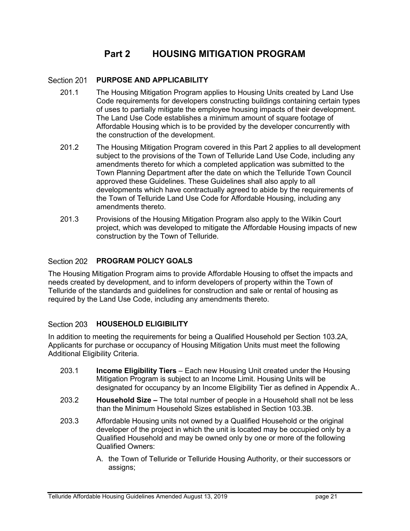## **Part 2 HOUSING MITIGATION PROGRAM**

#### <span id="page-32-1"></span><span id="page-32-0"></span>Section 201 **PURPOSE AND APPLICABILITY**

- 201.1 The Housing Mitigation Program applies to Housing Units created by Land Use Code requirements for developers constructing buildings containing certain types of uses to partially mitigate the employee housing impacts of their development. The Land Use Code establishes a minimum amount of square footage of Affordable Housing which is to be provided by the developer concurrently with the construction of the development.
- 201.2 The Housing Mitigation Program covered in this Part 2 applies to all development subject to the provisions of the Town of Telluride Land Use Code, including any amendments thereto for which a completed application was submitted to the Town Planning Department after the date on which the Telluride Town Council approved these Guidelines. These Guidelines shall also apply to all developments which have contractually agreed to abide by the requirements of the Town of Telluride Land Use Code for Affordable Housing, including any amendments thereto.
- 201.3 Provisions of the Housing Mitigation Program also apply to the Wilkin Court project, which was developed to mitigate the Affordable Housing impacts of new construction by the Town of Telluride.

## <span id="page-32-2"></span>Section 202 **PROGRAM POLICY GOALS**

The Housing Mitigation Program aims to provide Affordable Housing to offset the impacts and needs created by development, and to inform developers of property within the Town of Telluride of the standards and guidelines for construction and sale or rental of housing as required by the Land Use Code, including any amendments thereto.

## <span id="page-32-3"></span>Section 203 **HOUSEHOLD ELIGIBILITY**

In addition to meeting the requirements for being a Qualified Household per Section [103.2A,](#page-14-5) Applicants for purchase or occupancy of Housing Mitigation Units must meet the following Additional Eligibility Criteria.

- 203.1 **Income Eligibility Tiers** Each new Housing Unit created under the Housing Mitigation Program is subject to an Income Limit. Housing Units will be designated for occupancy by an Income Eligibility Tier as defined in Appendix A..
- 203.2 **Household Size –** The total number of people in a Household shall not be less than the Minimum Household Sizes established in Section [103.3B.](#page-16-1)
- <span id="page-32-4"></span>203.3 Affordable Housing units not owned by a Qualified Household or the original developer of the project in which the unit is located may be occupied only by a Qualified Household and may be owned only by one or more of the following Qualified Owners:
	- A. the Town of Telluride or Telluride Housing Authority, or their successors or assigns;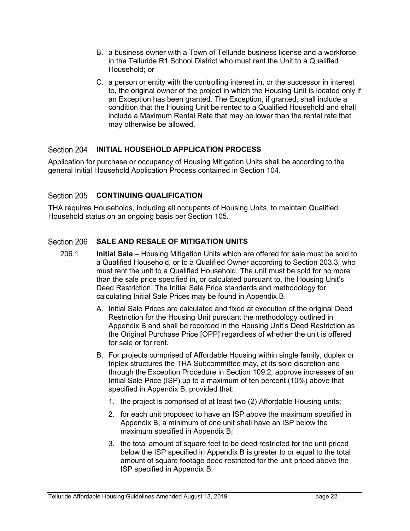- B. a business owner with a Town of Telluride business license and a workforce in the Telluride R1 School District who must rent the Unit to a Qualified Household; or
- C. a person or entity with the controlling interest in, or the successor in interest to, the original owner of the project in which the Housing Unit is located only if an Exception has been granted. The Exception, if granted, shall include a condition that the Housing Unit be rented to a Qualified Household and shall include a Maximum Rental Rate that may be lower than the rental rate that may otherwise be allowed.

### <span id="page-33-0"></span>**INITIAL HOUSEHOLD APPLICATION PROCESS** Section 204

Application for purchase or occupancy of Housing Mitigation Units shall be according to the general Initial Household Application Process contained in [Section 104.](#page-17-0)

## <span id="page-33-1"></span>Section 205 **CONTINUING QUALIFICATION**

THA requires Households, including all occupants of Housing Units, to maintain Qualified Household status on an ongoing basis per [Section 105.](#page-18-0)

### <span id="page-33-3"></span><span id="page-33-2"></span>Section 206 **SALE AND RESALE OF MITIGATION UNITS**

- 206.1 **Initial Sale** Housing Mitigation Units which are offered for sale must be sold to a Qualified Household, or to a Qualified Owner according to Section [203.3,](#page-32-4) who must rent the unit to a Qualified Household. The unit must be sold for no more than the sale price specified in, or calculated pursuant to, the Housing Unit's Deed Restriction. The Initial Sale Price standards and methodology for calculating Initial Sale Prices may be found in Appendix B.
	- A. Initial Sale Prices are calculated and fixed at execution of the original Deed Restriction for the Housing Unit pursuant the methodology outlined in Appendix B and shall be recorded in the Housing Unit's Deed Restriction as the Original Purchase Price [OPP] regardless of whether the unit is offered for sale or for rent.
	- B. For projects comprised of Affordable Housing within single family, duplex or triplex structures the THA Subcommittee may, at its sole discretion and through the Exception Procedure in Section [109.2,](#page-27-0) approve increases of an Initial Sale Price (ISP) up to a maximum of ten percent (10%) above that specified in Appendix B, provided that:
		- 1. the project is comprised of at least two (2) Affordable Housing units;
		- 2. for each unit proposed to have an ISP above the maximum specified in Appendix B, a minimum of one unit shall have an ISP below the maximum specified in Appendix B;
		- 3. the total amount of square feet to be deed restricted for the unit priced below the ISP specified in Appendix B is greater to or equal to the total amount of square footage deed restricted for the unit priced above the ISP specified in Appendix B;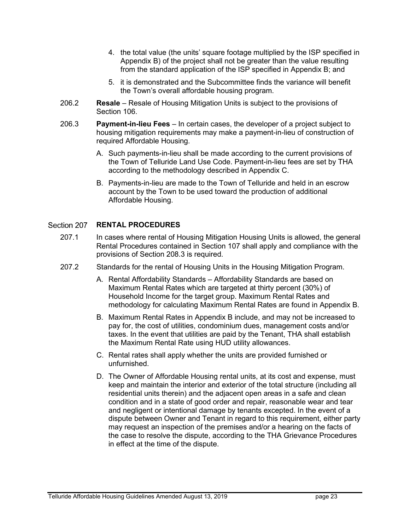- 4. the total value (the units' square footage multiplied by the ISP specified in Appendix B) of the project shall not be greater than the value resulting from the standard application of the ISP specified in Appendix B; and
- 5. it is demonstrated and the Subcommittee finds the variance will benefit the Town's overall affordable housing program.
- 206.2 **Resale** Resale of Housing Mitigation Units is subject to the provisions of [Section 106.](#page-20-0)
- 206.3 **Payment-in-lieu Fees** In certain cases, the developer of a project subject to housing mitigation requirements may make a payment-in-lieu of construction of required Affordable Housing.
	- A. Such payments-in-lieu shall be made according to the current provisions of the Town of Telluride Land Use Code. Payment-in-lieu fees are set by THA according to the methodology described in Appendix C.
	- B. Payments-in-lieu are made to the Town of Telluride and held in an escrow account by the Town to be used toward the production of additional Affordable Housing.

### <span id="page-34-0"></span>Section 207 **RENTAL PROCEDURES**

- 207.1 In cases where rental of Housing Mitigation Housing Units is allowed, the general Rental Procedures contained in [Section 107](#page-22-0) shall apply and compliance with the provisions of Section [208.3](#page-35-2) is required.
- <span id="page-34-1"></span>207.2 Standards for the rental of Housing Units in the Housing Mitigation Program.
	- A. Rental Affordability Standards Affordability Standards are based on Maximum Rental Rates which are targeted at thirty percent (30%) of Household Income for the target group. Maximum Rental Rates and methodology for calculating Maximum Rental Rates are found in Appendix B.
	- B. Maximum Rental Rates in Appendix B include, and may not be increased to pay for, the cost of utilities, condominium dues, management costs and/or taxes. In the event that utilities are paid by the Tenant, THA shall establish the Maximum Rental Rate using HUD utility allowances.
	- C. Rental rates shall apply whether the units are provided furnished or unfurnished.
	- D. The Owner of Affordable Housing rental units, at its cost and expense, must keep and maintain the interior and exterior of the total structure (including all residential units therein) and the adjacent open areas in a safe and clean condition and in a state of good order and repair, reasonable wear and tear and negligent or intentional damage by tenants excepted. In the event of a dispute between Owner and Tenant in regard to this requirement, either party may request an inspection of the premises and/or a hearing on the facts of the case to resolve the dispute, according to the THA Grievance Procedures in effect at the time of the dispute.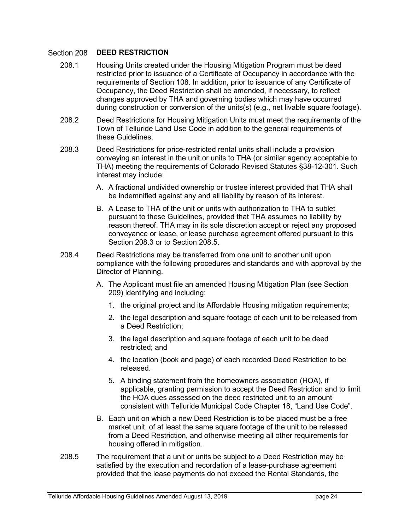#### <span id="page-35-0"></span>Section 208 **DEED RESTRICTION**

- 208.1 Housing Units created under the Housing Mitigation Program must be deed restricted prior to issuance of a Certificate of Occupancy in accordance with the requirements of [Section 108.](#page-24-0) In addition, prior to issuance of any Certificate of Occupancy, the Deed Restriction shall be amended, if necessary, to reflect changes approved by THA and governing bodies which may have occurred during construction or conversion of the units(s) (e.g., net livable square footage).
- 208.2 Deed Restrictions for Housing Mitigation Units must meet the requirements of the Town of Telluride Land Use Code in addition to the general requirements of these Guidelines.
- <span id="page-35-2"></span>208.3 Deed Restrictions for price-restricted rental units shall include a provision conveying an interest in the unit or units to THA (or similar agency acceptable to THA) meeting the requirements of Colorado Revised Statutes §38-12-301. Such interest may include:
	- A. A fractional undivided ownership or trustee interest provided that THA shall be indemnified against any and all liability by reason of its interest.
	- B. A Lease to THA of the unit or units with authorization to THA to sublet pursuant to these Guidelines, provided that THA assumes no liability by reason thereof. THA may in its sole discretion accept or reject any proposed conveyance or lease, or lease purchase agreement offered pursuant to this Section [208.3](#page-35-2) or to Section [208.5.](#page-35-1)
- 208.4 Deed Restrictions may be transferred from one unit to another unit upon compliance with the following procedures and standards and with approval by the Director of Planning.
	- A. The Applicant must file an amended Housing Mitigation Plan (see [Section](#page-36-0)  [209\)](#page-36-0) identifying and including:
		- 1. the original project and its Affordable Housing mitigation requirements;
		- 2. the legal description and square footage of each unit to be released from a Deed Restriction;
		- 3. the legal description and square footage of each unit to be deed restricted; and
		- 4. the location (book and page) of each recorded Deed Restriction to be released.
		- 5. A binding statement from the homeowners association (HOA), if applicable, granting permission to accept the Deed Restriction and to limit the HOA dues assessed on the deed restricted unit to an amount consistent with Telluride Municipal Code Chapter 18, "Land Use Code".
	- B. Each unit on which a new Deed Restriction is to be placed must be a free market unit, of at least the same square footage of the unit to be released from a Deed Restriction, and otherwise meeting all other requirements for housing offered in mitigation.
- <span id="page-35-1"></span>208.5 The requirement that a unit or units be subject to a Deed Restriction may be satisfied by the execution and recordation of a lease-purchase agreement provided that the lease payments do not exceed the Rental Standards, the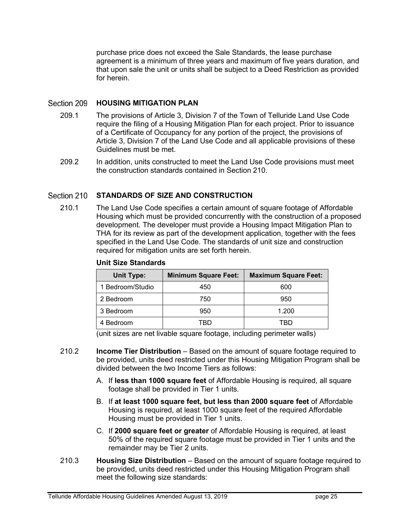purchase price does not exceed the Sale Standards, the lease purchase agreement is a minimum of three years and maximum of five years duration, and that upon sale the unit or units shall be subject to a Deed Restriction as provided for herein.

#### <span id="page-36-0"></span>Section 209 **HOUSING MITIGATION PLAN**

- 209.1 The provisions of Article 3, Division 7 of the Town of Telluride Land Use Code require the filing of a Housing Mitigation Plan for each project. Prior to issuance of a Certificate of Occupancy for any portion of the project, the provisions of Article 3, Division 7 of the Land Use Code and all applicable provisions of these Guidelines must be met.
- 209.2 In addition, units constructed to meet the Land Use Code provisions must meet the construction standards contained in [Section 210.](#page-36-1)

### <span id="page-36-3"></span><span id="page-36-1"></span>**STANDARDS OF SIZE AND CONSTRUCTION** Section 210

210.1 The Land Use Code specifies a certain amount of square footage of Affordable Housing which must be provided concurrently with the construction of a proposed development. The developer must provide a Housing Impact Mitigation Plan to THA for its review as part of the development application, together with the fees specified in the Land Use Code. The standards of unit size and construction required for mitigation units are set forth herein.

| <b>Unit Type:</b> | <b>Minimum Square Feet:</b> | <b>Maximum Square Feet:</b> |  |
|-------------------|-----------------------------|-----------------------------|--|
| 1 Bedroom/Studio  | 450                         | 600                         |  |
| 2 Bedroom         | 750                         | 950                         |  |
| 3 Bedroom         | 950                         | 1.200                       |  |
| 4 Bedroom         | TRD                         | TRD                         |  |

### **Unit Size Standards**

(unit sizes are net livable square footage, including perimeter walls)

- <span id="page-36-2"></span>210.2 **Income Tier Distribution** – Based on the amount of square footage required to be provided, units deed restricted under this Housing Mitigation Program shall be divided between the two Income Tiers as follows:
	- A. If **less than 1000 square feet** of Affordable Housing is required, all square footage shall be provided in Tier 1 units.
	- B. If **at least 1000 square feet, but less than 2000 square feet** of Affordable Housing is required, at least 1000 square feet of the required Affordable Housing must be provided in Tier 1 units.
	- C. If **2000 square feet or greater** of Affordable Housing is required, at least 50% of the required square footage must be provided in Tier 1 units and the remainder may be Tier 2 units.
- 210.3 **Housing Size Distribution** Based on the amount of square footage required to be provided, units deed restricted under this Housing Mitigation Program shall meet the following size standards: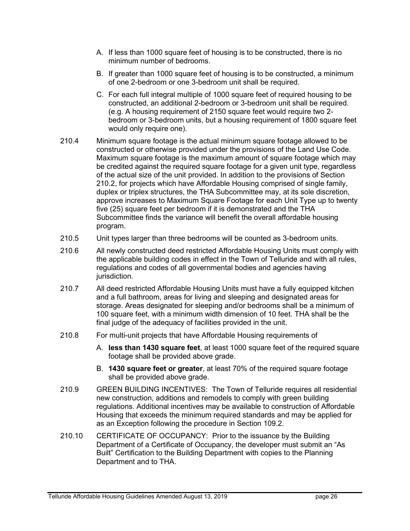- A. If less than 1000 square feet of housing is to be constructed, there is no minimum number of bedrooms.
- B. If greater than 1000 square feet of housing is to be constructed, a minimum of one 2-bedroom or one 3-bedroom unit shall be required.
- C. For each full integral multiple of 1000 square feet of required housing to be constructed, an additional 2-bedroom or 3-bedroom unit shall be required. (e.g. A housing requirement of 2150 square feet would require two 2 bedroom or 3-bedroom units, but a housing requirement of 1800 square feet would only require one).
- 210.4 Minimum square footage is the actual minimum square footage allowed to be constructed or otherwise provided under the provisions of the Land Use Code. Maximum square footage is the maximum amount of square footage which may be credited against the required square footage for a given unit type, regardless of the actual size of the unit provided. In addition to the provisions of Section [210.2,](#page-36-2) for projects which have Affordable Housing comprised of single family, duplex or triplex structures, the THA Subcommittee may, at its sole discretion, approve increases to Maximum Square Footage for each Unit Type up to twenty five (25) square feet per bedroom if it is demonstrated and the THA Subcommittee finds the variance will benefit the overall affordable housing program.
- 210.5 Unit types larger than three bedrooms will be counted as 3-bedroom units.
- <span id="page-37-0"></span>210.6 All newly constructed deed restricted Affordable Housing Units must comply with the applicable building codes in effect in the Town of Telluride and with all rules, regulations and codes of all governmental bodies and agencies having jurisdiction.
- <span id="page-37-1"></span>210.7 All deed restricted Affordable Housing Units must have a fully equipped kitchen and a full bathroom, areas for living and sleeping and designated areas for storage. Areas designated for sleeping and/or bedrooms shall be a minimum of 100 square feet, with a minimum width dimension of 10 feet. THA shall be the final judge of the adequacy of facilities provided in the unit.
- 210.8 For multi-unit projects that have Affordable Housing requirements of
	- A. **less than 1430 square feet**, at least 1000 square feet of the required square footage shall be provided above grade.
	- B. **1430 square feet or greater**, at least 70% of the required square footage shall be provided above grade.
- 210.9 GREEN BUILDING INCENTIVES: The Town of Telluride requires all residential new construction, additions and remodels to comply with green building regulations. Additional incentives may be available to construction of Affordable Housing that exceeds the minimum required standards and may be applied for as an Exception following the procedure in Section [109.2.](#page-27-0)
- 210.10 CERTIFICATE OF OCCUPANCY: Prior to the issuance by the Building Department of a Certificate of Occupancy, the developer must submit an "As Built" Certification to the Building Department with copies to the Planning Department and to THA.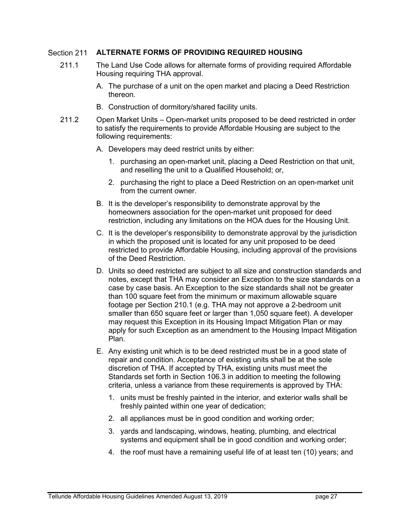#### <span id="page-38-0"></span>Section 211 **ALTERNATE FORMS OF PROVIDING REQUIRED HOUSING**

- 211.1 The Land Use Code allows for alternate forms of providing required Affordable Housing requiring THA approval.
	- A. The purchase of a unit on the open market and placing a Deed Restriction thereon.
	- B. Construction of dormitory/shared facility units.
- <span id="page-38-1"></span>211.2 Open Market Units – Open-market units proposed to be deed restricted in order to satisfy the requirements to provide Affordable Housing are subject to the following requirements:
	- A. Developers may deed restrict units by either:
		- 1. purchasing an open-market unit, placing a Deed Restriction on that unit, and reselling the unit to a Qualified Household; or,
		- 2. purchasing the right to place a Deed Restriction on an open-market unit from the current owner.
	- B. It is the developer's responsibility to demonstrate approval by the homeowners association for the open-market unit proposed for deed restriction, including any limitations on the HOA dues for the Housing Unit.
	- C. It is the developer's responsibility to demonstrate approval by the jurisdiction in which the proposed unit is located for any unit proposed to be deed restricted to provide Affordable Housing, including approval of the provisions of the Deed Restriction.
	- D. Units so deed restricted are subject to all size and construction standards and notes, except that THA may consider an Exception to the size standards on a case by case basis. An Exception to the size standards shall not be greater than 100 square feet from the minimum or maximum allowable square footage per Section [210.1](#page-36-3) (e.g. THA may not approve a 2-bedroom unit smaller than 650 square feet or larger than 1,050 square feet). A developer may request this Exception in its Housing Impact Mitigation Plan or may apply for such Exception as an amendment to the Housing Impact Mitigation Plan.
	- E. Any existing unit which is to be deed restricted must be in a good state of repair and condition. Acceptance of existing units shall be at the sole discretion of THA. If accepted by THA, existing units must meet the Standards set forth in Section [106.3](#page-20-1) in addition to meeting the following criteria, unless a variance from these requirements is approved by THA:
		- 1. units must be freshly painted in the interior, and exterior walls shall be freshly painted within one year of dedication;
		- 2. all appliances must be in good condition and working order;
		- 3. yards and landscaping, windows, heating, plumbing, and electrical systems and equipment shall be in good condition and working order;
		- 4. the roof must have a remaining useful life of at least ten (10) years; and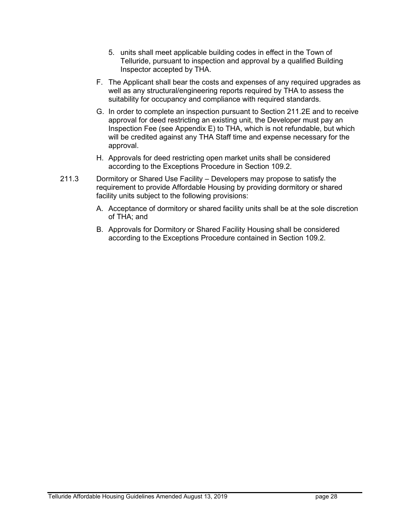- 5. units shall meet applicable building codes in effect in the Town of Telluride, pursuant to inspection and approval by a qualified Building Inspector accepted by THA.
- F. The Applicant shall bear the costs and expenses of any required upgrades as well as any structural/engineering reports required by THA to assess the suitability for occupancy and compliance with required standards.
- G. In order to complete an inspection pursuant to Section [211.2E](#page-38-1) and to receive approval for deed restricting an existing unit, the Developer must pay an Inspection Fee (see Appendix E) to THA, which is not refundable, but which will be credited against any THA Staff time and expense necessary for the approval.
- H. Approvals for deed restricting open market units shall be considered according to the Exceptions Procedure in Section [109.2.](#page-27-0)
- 211.3 Dormitory or Shared Use Facility Developers may propose to satisfy the requirement to provide Affordable Housing by providing dormitory or shared facility units subject to the following provisions:
	- A. Acceptance of dormitory or shared facility units shall be at the sole discretion of THA; and
	- B. Approvals for Dormitory or Shared Facility Housing shall be considered according to the Exceptions Procedure contained in Section [109.2.](#page-27-0)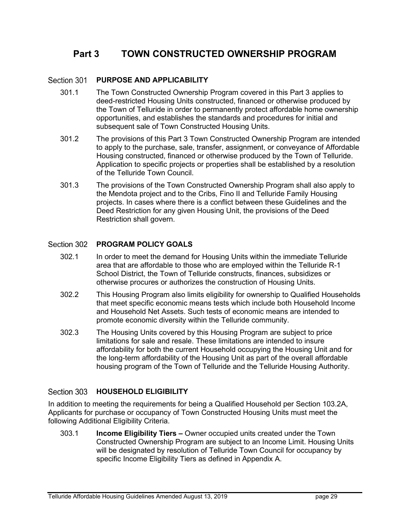## <span id="page-40-0"></span>**Part 3 TOWN CONSTRUCTED OWNERSHIP PROGRAM**

#### <span id="page-40-1"></span>Section 301 **PURPOSE AND APPLICABILITY**

- 301.1 The Town Constructed Ownership Program covered in this Part 3 applies to deed-restricted Housing Units constructed, financed or otherwise produced by the Town of Telluride in order to permanently protect affordable home ownership opportunities, and establishes the standards and procedures for initial and subsequent sale of Town Constructed Housing Units.
- 301.2 The provisions of this Part 3 Town Constructed Ownership Program are intended to apply to the purchase, sale, transfer, assignment, or conveyance of Affordable Housing constructed, financed or otherwise produced by the Town of Telluride. Application to specific projects or properties shall be established by a resolution of the Telluride Town Council.
- 301.3 The provisions of the Town Constructed Ownership Program shall also apply to the Mendota project and to the Cribs, Fino II and Telluride Family Housing projects. In cases where there is a conflict between these Guidelines and the Deed Restriction for any given Housing Unit, the provisions of the Deed Restriction shall govern.

### <span id="page-40-2"></span>Section 302 **PROGRAM POLICY GOALS**

- 302.1 In order to meet the demand for Housing Units within the immediate Telluride area that are affordable to those who are employed within the Telluride R-1 School District, the Town of Telluride constructs, finances, subsidizes or otherwise procures or authorizes the construction of Housing Units.
- 302.2 This Housing Program also limits eligibility for ownership to Qualified Households that meet specific economic means tests which include both Household Income and Household Net Assets. Such tests of economic means are intended to promote economic diversity within the Telluride community.
- 302.3 The Housing Units covered by this Housing Program are subject to price limitations for sale and resale. These limitations are intended to insure affordability for both the current Household occupying the Housing Unit and for the long-term affordability of the Housing Unit as part of the overall affordable housing program of the Town of Telluride and the Telluride Housing Authority.

### <span id="page-40-3"></span>Section 303 **HOUSEHOLD ELIGIBILITY**

In addition to meeting the requirements for being a Qualified Household per Section [103.2A,](#page-14-5) Applicants for purchase or occupancy of Town Constructed Housing Units must meet the following Additional Eligibility Criteria.

303.1 **Income Eligibility Tiers –** Owner occupied units created under the Town Constructed Ownership Program are subject to an Income Limit. Housing Units will be designated by resolution of Telluride Town Council for occupancy by specific Income Eligibility Tiers as defined in Appendix A.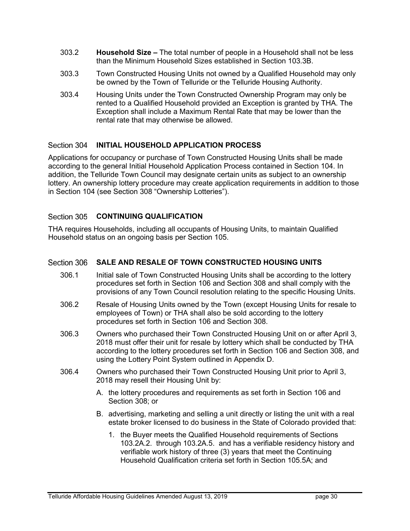- 303.2 **Household Size –** The total number of people in a Household shall not be less than the Minimum Household Sizes established in Section [103.3B.](#page-16-1)
- 303.3 Town Constructed Housing Units not owned by a Qualified Household may only be owned by the Town of Telluride or the Telluride Housing Authority.
- 303.4 Housing Units under the Town Constructed Ownership Program may only be rented to a Qualified Household provided an Exception is granted by THA. The Exception shall include a Maximum Rental Rate that may be lower than the rental rate that may otherwise be allowed.

### <span id="page-41-0"></span>Section 304 **INITIAL HOUSEHOLD APPLICATION PROCESS**

Applications for occupancy or purchase of Town Constructed Housing Units shall be made according to the general Initial Household Application Process contained in [Section 104.](#page-17-0) In addition, the Telluride Town Council may designate certain units as subject to an ownership lottery. An ownership lottery procedure may create application requirements in addition to those in [Section 104](#page-17-0) (see [Section 308](#page-42-1) "Ownership Lotteries").

## <span id="page-41-1"></span>Section 305 **CONTINUING QUALIFICATION**

THA requires Households, including all occupants of Housing Units, to maintain Qualified Household status on an ongoing basis per [Section 105.](#page-18-0)

### <span id="page-41-2"></span>Section 306 **SALE AND RESALE OF TOWN CONSTRUCTED HOUSING UNITS**

- 306.1 Initial sale of Town Constructed Housing Units shall be according to the lottery procedures set forth in [Section 106](#page-20-0) and [Section 308](#page-42-1) and shall comply with the provisions of any Town Council resolution relating to the specific Housing Units.
- 306.2 Resale of Housing Units owned by the Town (except Housing Units for resale to employees of Town) or THA shall also be sold according to the lottery procedures set forth in [Section 106](#page-20-0) and [Section 308.](#page-42-1)
- 306.3 Owners who purchased their Town Constructed Housing Unit on or after April 3, 2018 must offer their unit for resale by lottery which shall be conducted by THA according to the lottery procedures set forth in [Section 106](#page-20-0) and [Section 308,](#page-42-1) and using the Lottery Point System outlined in Appendix D.
- 306.4 Owners who purchased their Town Constructed Housing Unit prior to April 3, 2018 may resell their Housing Unit by:
	- A. the lottery procedures and requirements as set forth in [Section 106](#page-20-0) and [Section 308;](#page-42-1) or
	- B. advertising, marketing and selling a unit directly or listing the unit with a real estate broker licensed to do business in the State of Colorado provided that:
		- 1. the Buyer meets the Qualified Household requirements of Sections [103.2A.2. t](#page-14-2)hrough [103.2A.5. a](#page-14-3)nd has a verifiable residency history and verifiable work history of three (3) years that meet the Continuing Household Qualification criteria set forth in Section [105.5A;](#page-18-1) and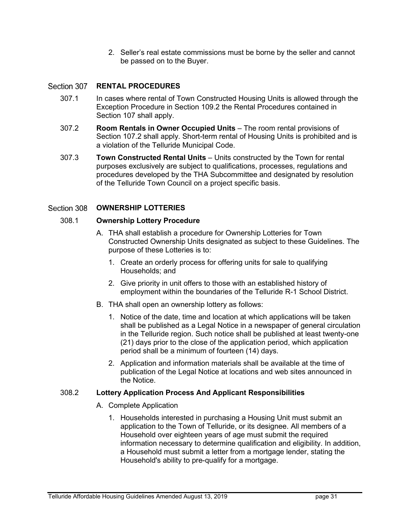2. Seller's real estate commissions must be borne by the seller and cannot be passed on to the Buyer.

### <span id="page-42-0"></span>Section 307 **RENTAL PROCEDURES**

- 307.1 In cases where rental of Town Constructed Housing Units is allowed through the Exception Procedure in Section [109.2](#page-27-0) the Rental Procedures contained in [Section 107](#page-22-0) shall apply.
- 307.2 **Room Rentals in Owner Occupied Units** The room rental provisions of Section 107.2 shall apply. Short-term rental of Housing Units is prohibited and is a violation of the Telluride Municipal Code.
- 307.3 **Town Constructed Rental Units** Units constructed by the Town for rental purposes exclusively are subject to qualifications, processes, regulations and procedures developed by the THA Subcommittee and designated by resolution of the Telluride Town Council on a project specific basis.

### <span id="page-42-1"></span>Section 308 **OWNERSHIP LOTTERIES**

## 308.1 **Ownership Lottery Procedure**

- A. THA shall establish a procedure for Ownership Lotteries for Town Constructed Ownership Units designated as subject to these Guidelines. The purpose of these Lotteries is to:
	- 1. Create an orderly process for offering units for sale to qualifying Households; and
	- 2. Give priority in unit offers to those with an established history of employment within the boundaries of the Telluride R-1 School District.
- B. THA shall open an ownership lottery as follows:
	- 1. Notice of the date, time and location at which applications will be taken shall be published as a Legal Notice in a newspaper of general circulation in the Telluride region. Such notice shall be published at least twenty-one (21) days prior to the close of the application period, which application period shall be a minimum of fourteen (14) days.
	- 2. Application and information materials shall be available at the time of publication of the Legal Notice at locations and web sites announced in the Notice.

## 308.2 **Lottery Application Process And Applicant Responsibilities**

- A. Complete Application
	- 1. Households interested in purchasing a Housing Unit must submit an application to the Town of Telluride, or its designee. All members of a Household over eighteen years of age must submit the required information necessary to determine qualification and eligibility. In addition, a Household must submit a letter from a mortgage lender, stating the Household's ability to pre-qualify for a mortgage.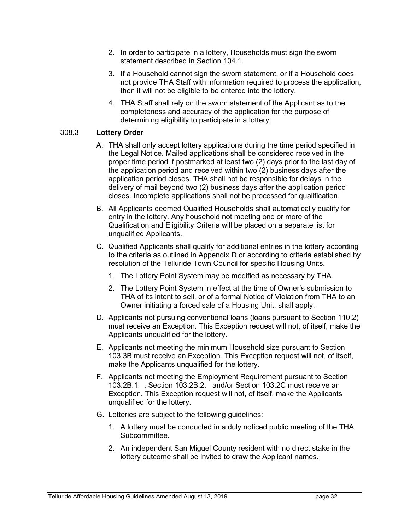- 2. In order to participate in a lottery, Households must sign the sworn statement described in Section [104.1.](#page-17-2)
- 3. If a Household cannot sign the sworn statement, or if a Household does not provide THA Staff with information required to process the application, then it will not be eligible to be entered into the lottery.
- 4. THA Staff shall rely on the sworn statement of the Applicant as to the completeness and accuracy of the application for the purpose of determining eligibility to participate in a lottery.

## 308.3 **Lottery Order**

- A. THA shall only accept lottery applications during the time period specified in the Legal Notice. Mailed applications shall be considered received in the proper time period if postmarked at least two (2) days prior to the last day of the application period and received within two (2) business days after the application period closes. THA shall not be responsible for delays in the delivery of mail beyond two (2) business days after the application period closes. Incomplete applications shall not be processed for qualification.
- B. All Applicants deemed Qualified Households shall automatically qualify for entry in the lottery. Any household not meeting one or more of the Qualification and Eligibility Criteria will be placed on a separate list for unqualified Applicants.
- C. Qualified Applicants shall qualify for additional entries in the lottery according to the criteria as outlined in Appendix D or according to criteria established by resolution of the Telluride Town Council for specific Housing Units.
	- 1. The Lottery Point System may be modified as necessary by THA.
	- 2. The Lottery Point System in effect at the time of Owner's submission to THA of its intent to sell, or of a formal Notice of Violation from THA to an Owner initiating a forced sale of a Housing Unit, shall apply.
- D. Applicants not pursuing conventional loans (loans pursuant to Section [110.2\)](#page-30-1) must receive an Exception. This Exception request will not, of itself, make the Applicants unqualified for the lottery.
- E. Applicants not meeting the minimum Household size pursuant to Section [103.3B](#page-16-1) must receive an Exception. This Exception request will not, of itself, make the Applicants unqualified for the lottery.
- F. Applicants not meeting the Employment Requirement pursuant to Section [103.2B.1. ,](#page-14-6) Section [103.2B.2.](#page-14-7) and/or Section [103.2C](#page-14-8) must receive an Exception. This Exception request will not, of itself, make the Applicants unqualified for the lottery.
- G. Lotteries are subject to the following guidelines:
	- 1. A lottery must be conducted in a duly noticed public meeting of the THA Subcommittee.
	- 2. An independent San Miguel County resident with no direct stake in the lottery outcome shall be invited to draw the Applicant names.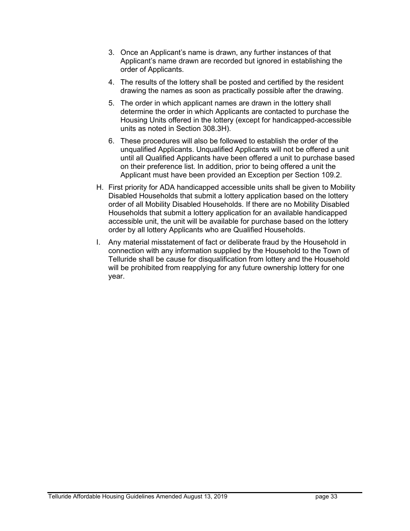- 3. Once an Applicant's name is drawn, any further instances of that Applicant's name drawn are recorded but ignored in establishing the order of Applicants.
- 4. The results of the lottery shall be posted and certified by the resident drawing the names as soon as practically possible after the drawing.
- 5. The order in which applicant names are drawn in the lottery shall determine the order in which Applicants are contacted to purchase the Housing Units offered in the lottery (except for handicapped-accessible units as noted in Section [308.3H\)](#page-44-0).
- 6. These procedures will also be followed to establish the order of the unqualified Applicants. Unqualified Applicants will not be offered a unit until all Qualified Applicants have been offered a unit to purchase based on their preference list. In addition, prior to being offered a unit the Applicant must have been provided an Exception per Section [109.2.](#page-27-0)
- <span id="page-44-0"></span>H. First priority for ADA handicapped accessible units shall be given to Mobility Disabled Households that submit a lottery application based on the lottery order of all Mobility Disabled Households. If there are no Mobility Disabled Households that submit a lottery application for an available handicapped accessible unit, the unit will be available for purchase based on the lottery order by all lottery Applicants who are Qualified Households.
- I. Any material misstatement of fact or deliberate fraud by the Household in connection with any information supplied by the Household to the Town of Telluride shall be cause for disqualification from lottery and the Household will be prohibited from reapplying for any future ownership lottery for one year.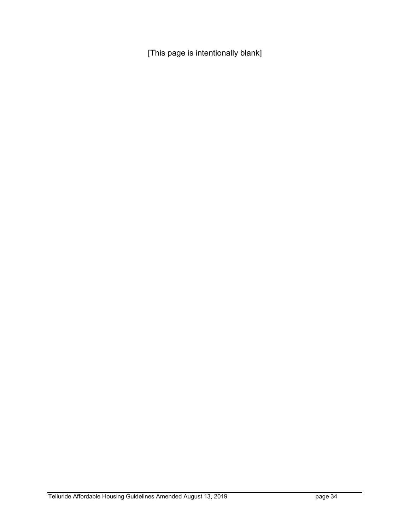[This page is intentionally blank]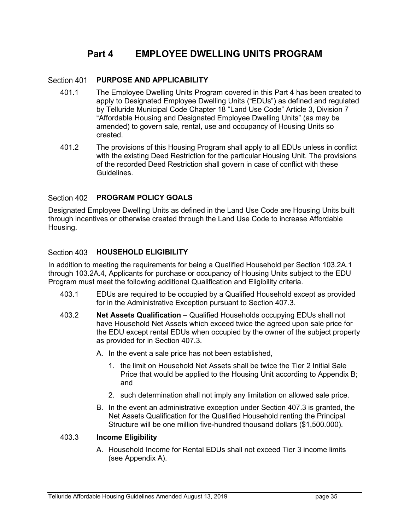## **Part 4 EMPLOYEE DWELLING UNITS PROGRAM**

#### <span id="page-46-1"></span><span id="page-46-0"></span>Section 401 **PURPOSE AND APPLICABILITY**

- 401.1 The Employee Dwelling Units Program covered in this Part 4 has been created to apply to Designated Employee Dwelling Units ("EDUs") as defined and regulated by Telluride Municipal Code Chapter 18 "Land Use Code" Article 3, Division 7 "Affordable Housing and Designated Employee Dwelling Units" (as may be amended) to govern sale, rental, use and occupancy of Housing Units so created.
- 401.2 The provisions of this Housing Program shall apply to all EDUs unless in conflict with the existing Deed Restriction for the particular Housing Unit. The provisions of the recorded Deed Restriction shall govern in case of conflict with these Guidelines.

## <span id="page-46-2"></span>Section 402 **PROGRAM POLICY GOALS**

Designated Employee Dwelling Units as defined in the Land Use Code are Housing Units built through incentives or otherwise created through the Land Use Code to increase Affordable Housing.

## <span id="page-46-3"></span>Section 403 HOUSEHOLD ELIGIBILITY

In addition to meeting the requirements for being a Qualified Household per Section [103.2A.](#page-14-5)1 through 103.2A.4, Applicants for purchase or occupancy of Housing Units subject to the EDU Program must meet the following additional Qualification and Eligibility criteria.

- 403.1 EDUs are required to be occupied by a Qualified Household except as provided for in the Administrative Exception pursuant to Section 407.3.
- 403.2 **Net Assets Qualification** Qualified Households occupying EDUs shall not have Household Net Assets which exceed twice the agreed upon sale price for the EDU except rental EDUs when occupied by the owner of the subject property as provided for in Section 407.3.
	- A. In the event a sale price has not been established,
		- 1. the limit on Household Net Assets shall be twice the Tier 2 Initial Sale Price that would be applied to the Housing Unit according to Appendix B; and
		- 2. such determination shall not imply any limitation on allowed sale price.
	- B. In the event an administrative exception under Section 407.3 is granted, the Net Assets Qualification for the Qualified Household renting the Principal Structure will be one million five-hundred thousand dollars (\$1,500.000).

## 403.3 **Income Eligibility**

A. Household Income for Rental EDUs shall not exceed Tier 3 income limits (see Appendix A).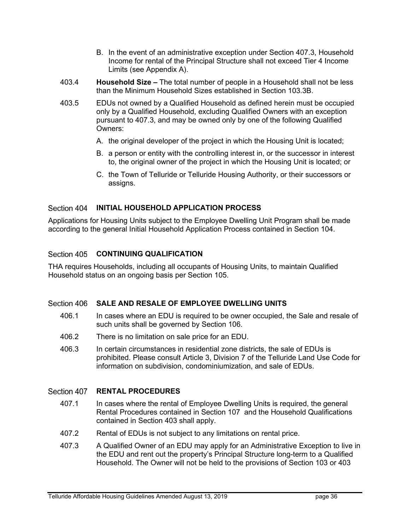- B. In the event of an administrative exception under Section 407.3, Household Income for rental of the Principal Structure shall not exceed Tier 4 Income Limits (see Appendix A).
- 403.4 **Household Size –** The total number of people in a Household shall not be less than the Minimum Household Sizes established in Section [103.3B.](#page-16-1)
- 403.5 EDUs not owned by a Qualified Household as defined herein must be occupied only by a Qualified Household, excluding Qualified Owners with an exception pursuant to 407.3, and may be owned only by one of the following Qualified Owners:
	- A. the original developer of the project in which the Housing Unit is located;
	- B. a person or entity with the controlling interest in, or the successor in interest to, the original owner of the project in which the Housing Unit is located; or
	- C. the Town of Telluride or Telluride Housing Authority, or their successors or assigns.

### <span id="page-47-0"></span>Section 404 **INITIAL HOUSEHOLD APPLICATION PROCESS**

Applications for Housing Units subject to the Employee Dwelling Unit Program shall be made according to the general Initial Household Application Process contained in [Section 104.](#page-17-0)

## <span id="page-47-1"></span>Section 405 **CONTINUING QUALIFICATION**

THA requires Households, including all occupants of Housing Units, to maintain Qualified Household status on an ongoing basis per [Section 105.](#page-18-0)

### <span id="page-47-2"></span>Section 406 **SALE AND RESALE OF EMPLOYEE DWELLING UNITS**

- 406.1 In cases where an EDU is required to be owner occupied, the Sale and resale of such units shall be governed by [Section 106.](#page-20-0)
- 406.2 There is no limitation on sale price for an EDU.
- 406.3 In certain circumstances in residential zone districts, the sale of EDUs is prohibited. Please consult Article 3, Division 7 of the Telluride Land Use Code for information on subdivision, condominiumization, and sale of EDUs.

### <span id="page-47-3"></span>Section 407 **RENTAL PROCEDURES**

- 407.1 In cases where the rental of Employee Dwelling Units is required, the general Rental Procedures contained in [Section 107](#page-22-0) and the Household Qualifications contained in [Section 403](#page-46-3) shall apply.
- 407.2 Rental of EDUs is not subject to any limitations on rental price.
- 407.3 A Qualified Owner of an EDU may apply for an Administrative Exception to live in the EDU and rent out the property's Principal Structure long-term to a Qualified Household. The Owner will not be held to the provisions of [Section 103](#page-13-0) or 403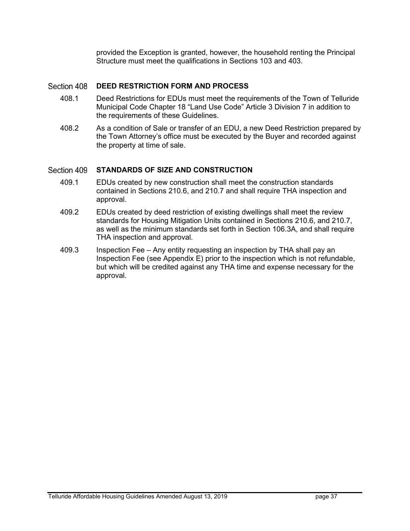provided the Exception is granted, however, the household renting the Principal Structure must meet the qualifications in Sections 103 and 403.

#### <span id="page-48-0"></span>**DEED RESTRICTION FORM AND PROCESS** Section 408

- 408.1 Deed Restrictions for EDUs must meet the requirements of the Town of Telluride Municipal Code Chapter 18 "Land Use Code" Article 3 Division 7 in addition to the requirements of these Guidelines.
- 408.2 As a condition of Sale or transfer of an EDU, a new Deed Restriction prepared by the Town Attorney's office must be executed by the Buyer and recorded against the property at time of sale.

#### <span id="page-48-1"></span>**STANDARDS OF SIZE AND CONSTRUCTION** Section 409

- 409.1 EDUs created by new construction shall meet the construction standards contained in Sections [210.6,](#page-37-0) and [210.7](#page-37-1) and shall require THA inspection and approval.
- 409.2 EDUs created by deed restriction of existing dwellings shall meet the review standards for Housing Mitigation Units contained in Sections [210.6,](#page-37-0) and [210.7,](#page-37-1) as well as the minimum standards set forth in Section [106.3A,](#page-20-2) and shall require THA inspection and approval.
- 409.3 Inspection Fee Any entity requesting an inspection by THA shall pay an Inspection Fee (see Appendix E) prior to the inspection which is not refundable, but which will be credited against any THA time and expense necessary for the approval.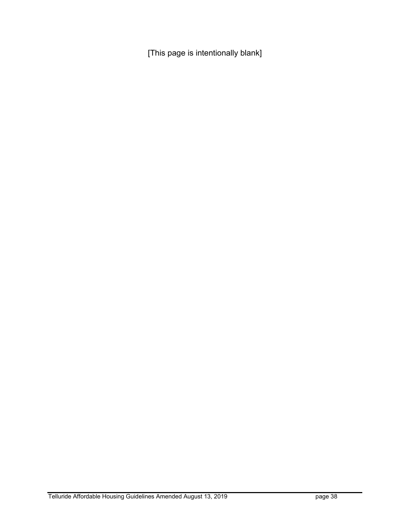[This page is intentionally blank]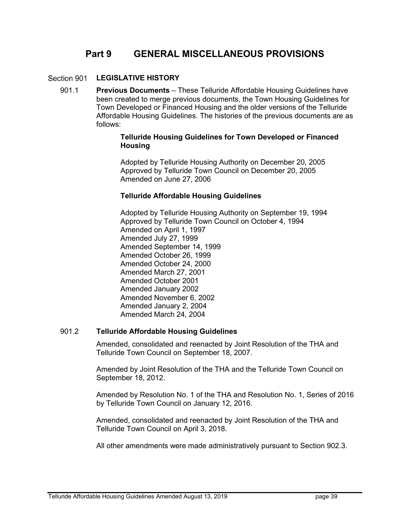## **Part 9 GENERAL MISCELLANEOUS PROVISIONS**

#### <span id="page-50-1"></span><span id="page-50-0"></span>Section 901 **LEGISLATIVE HISTORY**

901.1 **Previous Documents** – These Telluride Affordable Housing Guidelines have been created to merge previous documents, the Town Housing Guidelines for Town Developed or Financed Housing and the older versions of the Telluride Affordable Housing Guidelines. The histories of the previous documents are as follows:

### **Telluride Housing Guidelines for Town Developed or Financed Housing**

Adopted by Telluride Housing Authority on December 20, 2005 Approved by Telluride Town Council on December 20, 2005 Amended on June 27, 2006

## **Telluride Affordable Housing Guidelines**

Adopted by Telluride Housing Authority on September 19, 1994 Approved by Telluride Town Council on October 4, 1994 Amended on April 1, 1997 Amended July 27, 1999 Amended September 14, 1999 Amended October 26, 1999 Amended October 24, 2000 Amended March 27, 2001 Amended October 2001 Amended January 2002 Amended November 6, 2002 Amended January 2, 2004 Amended March 24, 2004

## 901.2 **Telluride Affordable Housing Guidelines**

Amended, consolidated and reenacted by Joint Resolution of the THA and Telluride Town Council on September 18, 2007.

Amended by Joint Resolution of the THA and the Telluride Town Council on September 18, 2012.

Amended by Resolution No. 1 of the THA and Resolution No. 1, Series of 2016 by Telluride Town Council on January 12, 2016.

Amended, consolidated and reenacted by Joint Resolution of the THA and Telluride Town Council on April 3, 2018.

All other amendments were made administratively pursuant to Section [902.3.](#page-51-2)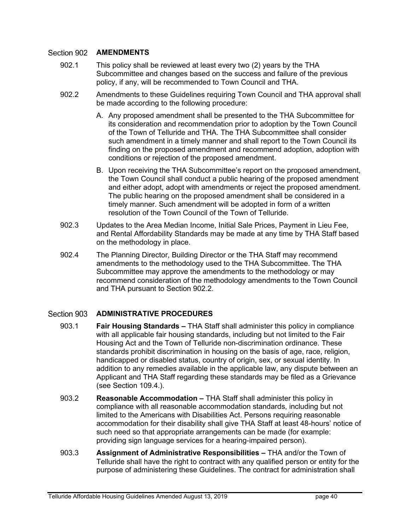## <span id="page-51-0"></span>Section 902 **AMENDMENTS**

- 902.1 This policy shall be reviewed at least every two (2) years by the THA Subcommittee and changes based on the success and failure of the previous policy, if any, will be recommended to Town Council and THA.
- <span id="page-51-3"></span>902.2 Amendments to these Guidelines requiring Town Council and THA approval shall be made according to the following procedure:
	- A. Any proposed amendment shall be presented to the THA Subcommittee for its consideration and recommendation prior to adoption by the Town Council of the Town of Telluride and THA. The THA Subcommittee shall consider such amendment in a timely manner and shall report to the Town Council its finding on the proposed amendment and recommend adoption, adoption with conditions or rejection of the proposed amendment.
	- B. Upon receiving the THA Subcommittee's report on the proposed amendment, the Town Council shall conduct a public hearing of the proposed amendment and either adopt, adopt with amendments or reject the proposed amendment. The public hearing on the proposed amendment shall be considered in a timely manner. Such amendment will be adopted in form of a written resolution of the Town Council of the Town of Telluride.
- <span id="page-51-2"></span>902.3 Updates to the Area Median Income, Initial Sale Prices, Payment in Lieu Fee, and Rental Affordability Standards may be made at any time by THA Staff based on the methodology in place.
- 902.4 The Planning Director, Building Director or the THA Staff may recommend amendments to the methodology used to the THA Subcommittee. The THA Subcommittee may approve the amendments to the methodology or may recommend consideration of the methodology amendments to the Town Council and THA pursuant to Section [902.2.](#page-51-3)

### <span id="page-51-1"></span>Section 903 **ADMINISTRATIVE PROCEDURES**

- 903.1 **Fair Housing Standards –** THA Staff shall administer this policy in compliance with all applicable fair housing standards, including but not limited to the Fair Housing Act and the Town of Telluride non-discrimination ordinance. These standards prohibit discrimination in housing on the basis of age, race, religion, handicapped or disabled status, country of origin, sex, or sexual identity. In addition to any remedies available in the applicable law, any dispute between an Applicant and THA Staff regarding these standards may be filed as a Grievance (see Section [109.4.](#page-29-0)).
- 903.2 **Reasonable Accommodation –** THA Staff shall administer this policy in compliance with all reasonable accommodation standards, including but not limited to the Americans with Disabilities Act. Persons requiring reasonable accommodation for their disability shall give THA Staff at least 48-hours' notice of such need so that appropriate arrangements can be made (for example: providing sign language services for a hearing-impaired person).
- 903.3 **Assignment of Administrative Responsibilities –** THA and/or the Town of Telluride shall have the right to contract with any qualified person or entity for the purpose of administering these Guidelines. The contract for administration shall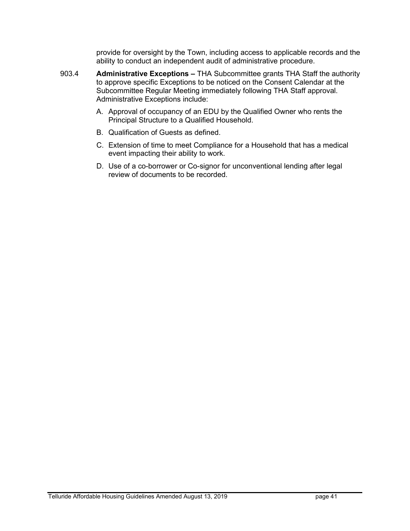provide for oversight by the Town, including access to applicable records and the ability to conduct an independent audit of administrative procedure.

- <span id="page-52-0"></span>903.4 **Administrative Exceptions –** THA Subcommittee grants THA Staff the authority to approve specific Exceptions to be noticed on the Consent Calendar at the Subcommittee Regular Meeting immediately following THA Staff approval. Administrative Exceptions include:
	- A. Approval of occupancy of an EDU by the Qualified Owner who rents the Principal Structure to a Qualified Household.
	- B. Qualification of Guests as defined.
	- C. Extension of time to meet Compliance for a Household that has a medical event impacting their ability to work.
	- D. Use of a co-borrower or Co-signor for unconventional lending after legal review of documents to be recorded.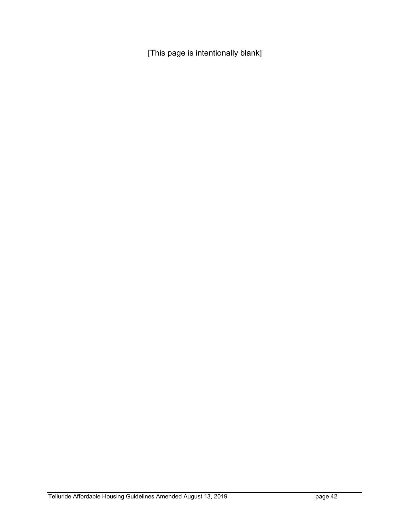[This page is intentionally blank]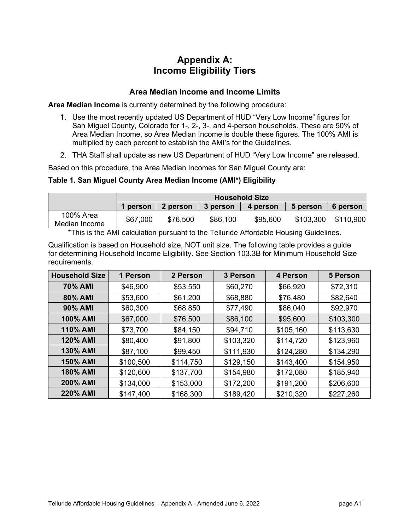## **Appendix A: Income Eligibility Tiers**

## **Area Median Income and Income Limits**

<span id="page-54-0"></span>**Area Median Income** is currently determined by the following procedure:

- 1. Use the most recently updated US Department of HUD "Very Low Income" figures for San Miguel County, Colorado for 1-, 2-, 3-, and 4-person households. These are 50% of Area Median Income, so Area Median Income is double these figures. The 100% AMI is multiplied by each percent to establish the AMI's for the Guidelines.
- 2. THA Staff shall update as new US Department of HUD "Very Low Income" are released.

Based on this procedure, the Area Median Incomes for San Miguel County are:

## **Table 1. San Miguel County Area Median Income (AMI\*) Eligibility**

|                            | <b>Household Size</b> |          |          |          |          |                     |
|----------------------------|-----------------------|----------|----------|----------|----------|---------------------|
|                            | 1 person              | 2 person | 3 person | 4 person | 5 person | $\vert$ 6 person    |
| 100% Area<br>Median Income | \$67,000              | \$76,500 | \$86,100 | \$95,600 |          | \$103,300 \$110,900 |

This is the AMI calculation pursuant to the Telluride Affordable Housing Guidelines.

Qualification is based on Household size, NOT unit size. The following table provides a guide for determining Household Income Eligibility. See Section [103.3B](#page-16-1) for Minimum Household Size requirements.

| <b>Household Size</b> | 1 Person  | 2 Person  | 3 Person  | 4 Person  | <b>5 Person</b> |
|-----------------------|-----------|-----------|-----------|-----------|-----------------|
| <b>70% AMI</b>        | \$46,900  | \$53,550  | \$60,270  | \$66,920  | \$72,310        |
| <b>80% AMI</b>        | \$53,600  | \$61,200  | \$68,880  | \$76,480  | \$82,640        |
| 90% AMI               | \$60,300  | \$68,850  | \$77,490  | \$86,040  | \$92,970        |
| 100% AMI              | \$67,000  | \$76,500  | \$86,100  | \$95,600  | \$103,300       |
| <b>110% AMI</b>       | \$73,700  | \$84,150  | \$94,710  | \$105,160 | \$113,630       |
| <b>120% AMI</b>       | \$80,400  | \$91,800  | \$103,320 | \$114,720 | \$123,960       |
| <b>130% AMI</b>       | \$87,100  | \$99,450  | \$111,930 | \$124,280 | \$134,290       |
| <b>150% AMI</b>       | \$100,500 | \$114,750 | \$129,150 | \$143,400 | \$154,950       |
| <b>180% AMI</b>       | \$120,600 | \$137,700 | \$154,980 | \$172,080 | \$185,940       |
| 200% AMI              | \$134,000 | \$153,000 | \$172,200 | \$191,200 | \$206,600       |
| 220% AMI              | \$147,400 | \$168,300 | \$189,420 | \$210,320 | \$227,260       |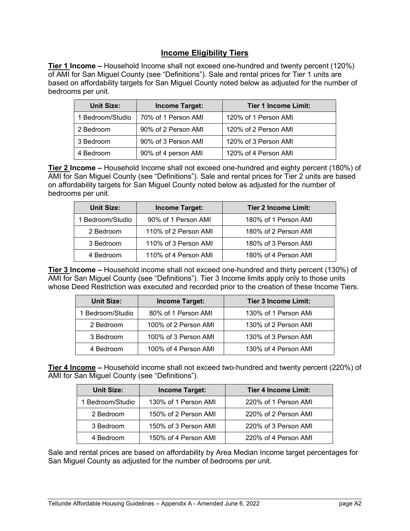## **Income Eligibility Tiers**

**Tier 1 Income –** Household Income shall not exceed one-hundred and twenty percent (120%) of AMI for San Miguel County (see "Definitions"). Sale and rental prices for Tier 1 units are based on affordability targets for San Miguel County noted below as adjusted for the number of bedrooms per unit.

| <b>Unit Size:</b> | <b>Income Target:</b> | Tier 1 Income Limit: |  |
|-------------------|-----------------------|----------------------|--|
| 1 Bedroom/Studio  | 70% of 1 Person AMI   | 120% of 1 Person AMI |  |
| 2 Bedroom         | 90% of 2 Person AMI   | 120% of 2 Person AMI |  |
| 3 Bedroom         | 90% of 3 Person AMI   | 120% of 3 Person AMI |  |
| 4 Bedroom         | 90% of 4 person AMI   | 120% of 4 Person AMI |  |

**Tier 2 Income –** Household Income shall not exceed one-hundred and eighty percent (180%) of AMI for San Miguel County (see "Definitions"). Sale and rental prices for Tier 2 units are based on affordability targets for San Miguel County noted below as adjusted for the number of bedrooms per unit.

| <b>Unit Size:</b> | <b>Income Target:</b> | Tier 2 Income Limit: |
|-------------------|-----------------------|----------------------|
| 1 Bedroom/Studio  | 90% of 1 Person AMI   | 180% of 1 Person AMI |
| 2 Bedroom         | 110% of 2 Person AMI  | 180% of 2 Person AMI |
| 3 Bedroom         | 110% of 3 Person AMI  | 180% of 3 Person AMI |
| 4 Bedroom         | 110% of 4 Person AMI  | 180% of 4 Person AMI |

**Tier 3 Income –** Household income shall not exceed one-hundred and thirty percent (130%) of AMI for San Miguel County (see "Definitions"). Tier 3 Income limits apply only to those units whose Deed Restriction was executed and recorded prior to the creation of these Income Tiers.

| <b>Unit Size:</b> | <b>Income Target:</b> | Tier 3 Income Limit: |  |
|-------------------|-----------------------|----------------------|--|
| 1 Bedroom/Studio  | 80% of 1 Person AMI   | 130% of 1 Person AMi |  |
| 2 Bedroom         | 100% of 2 Person AMI  | 130% of 2 Person AMI |  |
| 3 Bedroom         | 100% of 3 Person AMI  | 130% of 3 Person AMI |  |
| 4 Bedroom         | 100% of 4 Person AMI  | 130% of 4 Person AMI |  |

**Tier 4 Income –** Household income shall not exceed two-hundred and twenty percent (220%) of AMI for San Miguel County (see "Definitions").

| <b>Unit Size:</b> | <b>Income Target:</b> | <b>Tier 4 Income Limit:</b> |
|-------------------|-----------------------|-----------------------------|
| 1 Bedroom/Studio  | 130% of 1 Person AMI  | 220% of 1 Person AMI        |
| 2 Bedroom         | 150% of 2 Person AMI  | 220% of 2 Person AMI        |
| 3 Bedroom         | 150% of 3 Person AMI  | 220% of 3 Person AMI        |
| 4 Bedroom         | 150% of 4 Person AMI  | 220% of 4 Person AMI        |

Sale and rental prices are based on affordability by Area Median Income target percentages for San Miguel County as adjusted for the number of bedrooms per unit.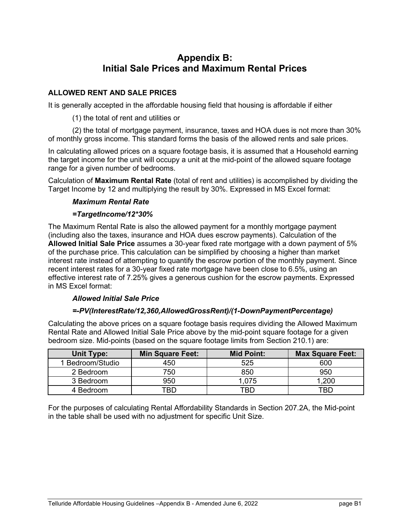## **Appendix B: Initial Sale Prices and Maximum Rental Prices**

## <span id="page-56-0"></span>**ALLOWED RENT AND SALE PRICES**

It is generally accepted in the affordable housing field that housing is affordable if either

(1) the total of rent and utilities or

(2) the total of mortgage payment, insurance, taxes and HOA dues is not more than 30% of monthly gross income. This standard forms the basis of the allowed rents and sale prices.

In calculating allowed prices on a square footage basis, it is assumed that a Household earning the target income for the unit will occupy a unit at the mid-point of the allowed square footage range for a given number of bedrooms.

Calculation of **Maximum Rental Rate** (total of rent and utilities) is accomplished by dividing the Target Income by 12 and multiplying the result by 30%. Expressed in MS Excel format:

## *Maximum Rental Rate*

### *=TargetIncome/12\*30%*

The Maximum Rental Rate is also the allowed payment for a monthly mortgage payment (including also the taxes, insurance and HOA dues escrow payments). Calculation of the **Allowed Initial Sale Price** assumes a 30-year fixed rate mortgage with a down payment of 5% of the purchase price. This calculation can be simplified by choosing a higher than market interest rate instead of attempting to quantify the escrow portion of the monthly payment. Since recent interest rates for a 30-year fixed rate mortgage have been close to 6.5%, using an effective interest rate of 7.25% gives a generous cushion for the escrow payments. Expressed in MS Excel format:

### *Allowed Initial Sale Price*

## *=-PV(InterestRate/12,360,AllowedGrossRent)/(1-DownPaymentPercentage)*

Calculating the above prices on a square footage basis requires dividing the Allowed Maximum Rental Rate and Allowed Initial Sale Price above by the mid-point square footage for a given bedroom size. Mid-points (based on the square footage limits from Section [210.1\)](#page-36-3) are:

| <b>Unit Type:</b> | <b>Min Square Feet:</b> | <b>Mid Point:</b> | <b>Max Square Feet:</b> |
|-------------------|-------------------------|-------------------|-------------------------|
| 1 Bedroom/Studio  | 450                     | 525               | 600                     |
| 2 Bedroom         | 750                     | 850               | 950                     |
| 3 Bedroom         | 950                     | l.075             | 1,200                   |
| 4 Bedroom         | TBD                     | TRΓ               | TBL                     |

For the purposes of calculating Rental Affordability Standards in Section [207.2A,](#page-34-1) the Mid-point in the table shall be used with no adjustment for specific Unit Size.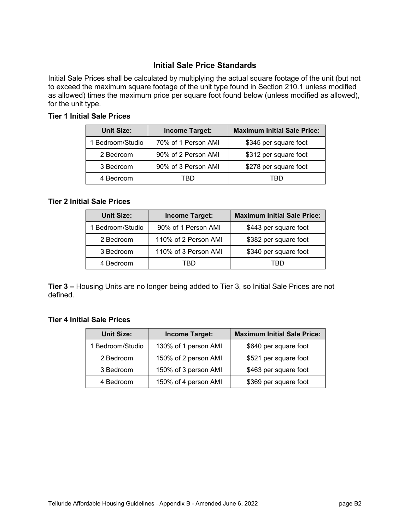## **Initial Sale Price Standards**

Initial Sale Prices shall be calculated by multiplying the actual square footage of the unit (but not to exceed the maximum square footage of the unit type found in Section [210.1](#page-36-3) unless modified as allowed) times the maximum price per square foot found below (unless modified as allowed), for the unit type.

## **Tier 1 Initial Sale Prices**

| <b>Unit Size:</b> | <b>Income Target:</b> | <b>Maximum Initial Sale Price:</b> |  |
|-------------------|-----------------------|------------------------------------|--|
| 1 Bedroom/Studio  | 70% of 1 Person AMI   | \$345 per square foot              |  |
| 2 Bedroom         | 90% of 2 Person AMI   | \$312 per square foot              |  |
| 3 Bedroom         | 90% of 3 Person AMI   | \$278 per square foot              |  |
| 4 Bedroom         | TRD                   |                                    |  |

## **Tier 2 Initial Sale Prices**

| <b>Unit Size:</b> | <b>Income Target:</b> | <b>Maximum Initial Sale Price:</b> |
|-------------------|-----------------------|------------------------------------|
| 1 Bedroom/Studio  | 90% of 1 Person AMI   | \$443 per square foot              |
| 2 Bedroom         | 110% of 2 Person AMI  | \$382 per square foot              |
| 3 Bedroom         | 110% of 3 Person AMI  | \$340 per square foot              |
| 4 Bedroom         | ERD.                  | TRD                                |

**Tier 3 –** Housing Units are no longer being added to Tier 3, so Initial Sale Prices are not defined.

## **Tier 4 Initial Sale Prices**

| <b>Unit Size:</b> | <b>Income Target:</b> | <b>Maximum Initial Sale Price:</b> |
|-------------------|-----------------------|------------------------------------|
| 1 Bedroom/Studio  | 130% of 1 person AMI  | \$640 per square foot              |
| 2 Bedroom         | 150% of 2 person AMI  | \$521 per square foot              |
| 3 Bedroom         | 150% of 3 person AMI  | \$463 per square foot              |
| 4 Bedroom         | 150% of 4 person AMI  | \$369 per square foot              |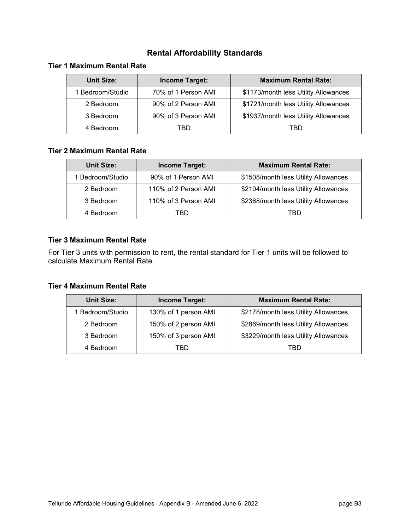## **Rental Affordability Standards**

### **Tier 1 Maximum Rental Rate**

| <b>Unit Size:</b> | <b>Income Target:</b> | <b>Maximum Rental Rate:</b>          |
|-------------------|-----------------------|--------------------------------------|
| 1 Bedroom/Studio  | 70% of 1 Person AMI   | \$1173/month less Utility Allowances |
| 2 Bedroom         | 90% of 2 Person AMI   | \$1721/month less Utility Allowances |
| 3 Bedroom         | 90% of 3 Person AMI   | \$1937/month less Utility Allowances |
| 4 Bedroom         | TBD                   | TRD                                  |

## **Tier 2 Maximum Rental Rate**

| <b>Unit Size:</b> | <b>Income Target:</b> | <b>Maximum Rental Rate:</b>          |
|-------------------|-----------------------|--------------------------------------|
| 1 Bedroom/Studio  | 90% of 1 Person AMI   | \$1508/month less Utility Allowances |
| 2 Bedroom         | 110% of 2 Person AMI  | \$2104/month less Utility Allowances |
| 3 Bedroom         | 110% of 3 Person AMI  | \$2368/month less Utility Allowances |
| 4 Bedroom         | FBD                   | TRD                                  |

## **Tier 3 Maximum Rental Rate**

For Tier 3 units with permission to rent, the rental standard for Tier 1 units will be followed to calculate Maximum Rental Rate.

### **Tier 4 Maximum Rental Rate**

| <b>Unit Size:</b> | <b>Income Target:</b> | <b>Maximum Rental Rate:</b>          |
|-------------------|-----------------------|--------------------------------------|
| 1 Bedroom/Studio  | 130% of 1 person AMI  | \$2178/month less Utility Allowances |
| 2 Bedroom         | 150% of 2 person AMI  | \$2869/month less Utility Allowances |
| 3 Bedroom         | 150% of 3 person AMI  | \$3229/month less Utility Allowances |
| 4 Bedroom         | -RD                   | TRD                                  |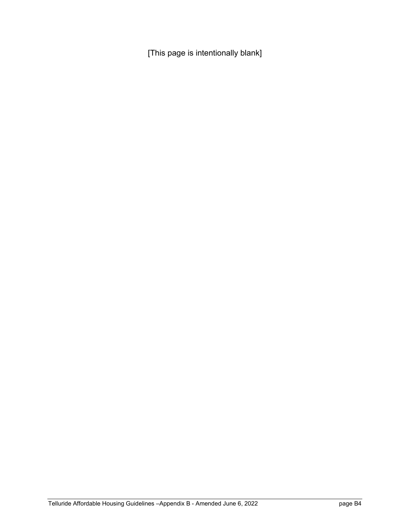[This page is intentionally blank]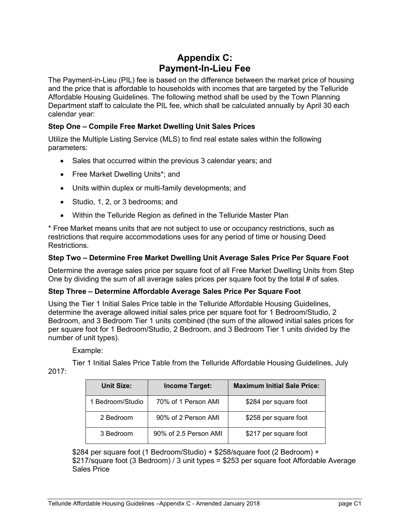## **Appendix C: Payment-In-Lieu Fee**

<span id="page-60-0"></span>The Payment-in-Lieu (PIL) fee is based on the difference between the market price of housing and the price that is affordable to households with incomes that are targeted by the Telluride Affordable Housing Guidelines. The following method shall be used by the Town Planning Department staff to calculate the PIL fee, which shall be calculated annually by April 30 each calendar year:

## **Step One – Compile Free Market Dwelling Unit Sales Prices**

Utilize the Multiple Listing Service (MLS) to find real estate sales within the following parameters:

- Sales that occurred within the previous 3 calendar years; and
- Free Market Dwelling Units\*; and
- Units within duplex or multi-family developments; and
- Studio, 1, 2, or 3 bedrooms; and
- Within the Telluride Region as defined in the Telluride Master Plan

\* Free Market means units that are not subject to use or occupancy restrictions, such as restrictions that require accommodations uses for any period of time or housing Deed Restrictions.

## **Step Two – Determine Free Market Dwelling Unit Average Sales Price Per Square Foot**

Determine the average sales price per square foot of all Free Market Dwelling Units from Step One by dividing the sum of all average sales prices per square foot by the total # of sales.

## **Step Three – Determine Affordable Average Sales Price Per Square Foot**

Using the Tier 1 Initial Sales Price table in the Telluride Affordable Housing Guidelines, determine the average allowed initial sales price per square foot for 1 Bedroom/Studio, 2 Bedroom, and 3 Bedroom Tier 1 units combined (the sum of the allowed initial sales prices for per square foot for 1 Bedroom/Studio, 2 Bedroom, and 3 Bedroom Tier 1 units divided by the number of unit types).

## Example:

Tier 1 Initial Sales Price Table from the Telluride Affordable Housing Guidelines, July 2017:

| <b>Unit Size:</b> | <b>Maximum Initial Sale Price:</b><br><b>Income Target:</b> |                       |
|-------------------|-------------------------------------------------------------|-----------------------|
| 1 Bedroom/Studio  | 70% of 1 Person AMI                                         | \$284 per square foot |
| 2 Bedroom         | 90% of 2 Person AMI                                         | \$258 per square foot |
| 3 Bedroom         | 90% of 2.5 Person AMI                                       | \$217 per square foot |

\$284 per square foot (1 Bedroom/Studio) + \$258/square foot (2 Bedroom) + \$217/square foot (3 Bedroom) / 3 unit types = \$253 per square foot Affordable Average Sales Price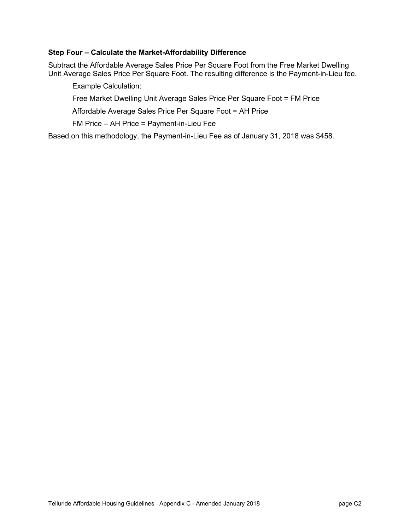## **Step Four – Calculate the Market-Affordability Difference**

Subtract the Affordable Average Sales Price Per Square Foot from the Free Market Dwelling Unit Average Sales Price Per Square Foot. The resulting difference is the Payment-in-Lieu fee.

Example Calculation:

Free Market Dwelling Unit Average Sales Price Per Square Foot = FM Price

Affordable Average Sales Price Per Square Foot = AH Price

FM Price – AH Price = Payment-in-Lieu Fee

Based on this methodology, the Payment-in-Lieu Fee as of January 31, 2018 was \$458.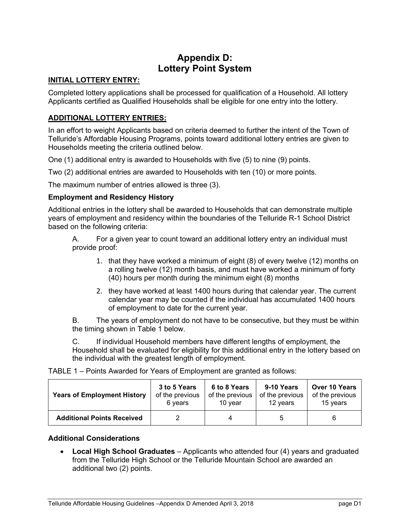## **Appendix D: Lottery Point System**

## <span id="page-62-0"></span>**INITIAL LOTTERY ENTRY:**

Completed lottery applications shall be processed for qualification of a Household. All lottery Applicants certified as Qualified Households shall be eligible for one entry into the lottery.

## **ADDITIONAL LOTTERY ENTRIES:**

In an effort to weight Applicants based on criteria deemed to further the intent of the Town of Telluride's Affordable Housing Programs, points toward additional lottery entries are given to Households meeting the criteria outlined below.

One (1) additional entry is awarded to Households with five (5) to nine (9) points.

Two (2) additional entries are awarded to Households with ten (10) or more points.

The maximum number of entries allowed is three (3).

### **Employment and Residency History**

Additional entries in the lottery shall be awarded to Households that can demonstrate multiple years of employment and residency within the boundaries of the Telluride R-1 School District based on the following criteria:

A. For a given year to count toward an additional lottery entry an individual must provide proof:

- 1. that they have worked a minimum of eight (8) of every twelve (12) months on a rolling twelve (12) month basis, and must have worked a minimum of forty (40) hours per month during the minimum eight (8) months
- 2. they have worked at least 1400 hours during that calendar year. The current calendar year may be counted if the individual has accumulated 1400 hours of employment to date for the current year.

B. The years of employment do not have to be consecutive, but they must be within the timing shown in Table 1 below.

C. If individual Household members have different lengths of employment, the Household shall be evaluated for eligibility for this additional entry in the lottery based on the individual with the greatest length of employment.

| <b>Years of Employment History</b> | 3 to 5 Years    | 6 to 8 Years    | 9-10 Years      | <b>Over 10 Years</b> |
|------------------------------------|-----------------|-----------------|-----------------|----------------------|
|                                    | of the previous | of the previous | of the previous | of the previous      |
|                                    | 6 vears         | 10 year         | 12 vears        | 15 vears             |
| <b>Additional Points Received</b>  |                 |                 | 5               | 6                    |

### **Additional Considerations**

• **Local High School Graduates** – Applicants who attended four (4) years and graduated from the Telluride High School or the Telluride Mountain School are awarded an additional two (2) points.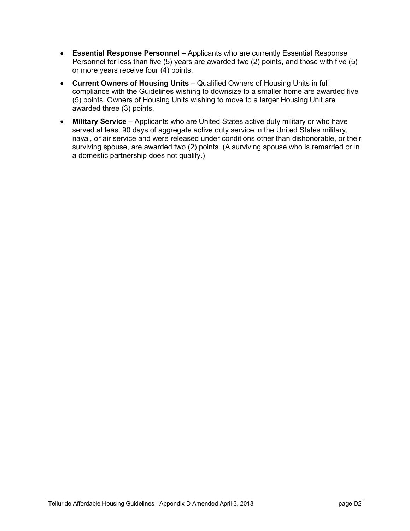- **Essential Response Personnel** Applicants who are currently Essential Response Personnel for less than five (5) years are awarded two (2) points, and those with five (5) or more years receive four (4) points.
- **Current Owners of Housing Units** Qualified Owners of Housing Units in full compliance with the Guidelines wishing to downsize to a smaller home are awarded five (5) points. Owners of Housing Units wishing to move to a larger Housing Unit are awarded three (3) points.
- **Military Service** Applicants who are United States active duty military or who have served at least 90 days of aggregate active duty service in the United States military, naval, or air service and were released under conditions other than dishonorable, or their surviving spouse, are awarded two (2) points. (A surviving spouse who is remarried or in a domestic partnership does not qualify.)